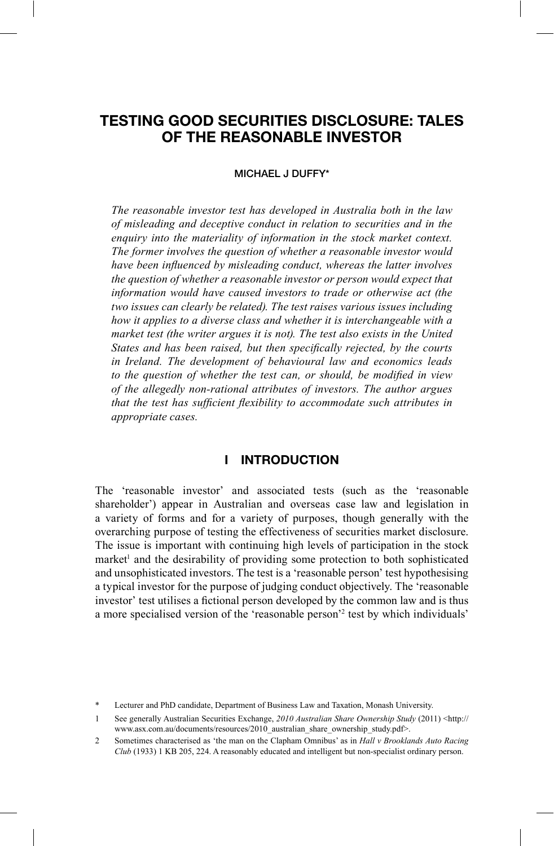# **TESTING GOOD SECURITIES DISCLOSURE: TALES OF THE REASONABLE INVESTOR**

#### MICHAEL J DUFFY\*

*The reasonable investor test has developed in Australia both in the law of misleading and deceptive conduct in relation to securities and in the enquiry into the materiality of information in the stock market context. The former involves the question of whether a reasonable investor would*  have been influenced by misleading conduct, whereas the latter involves *the question of whether a reasonable investor or person would expect that information would have caused investors to trade or otherwise act (the two issues can clearly be related). The test raises various issues including how it applies to a diverse class and whether it is interchangeable with a market test (the writer argues it is not). The test also exists in the United States and has been raised, but then specifically rejected, by the courts in Ireland. The development of behavioural law and economics leads to the question of whether the test can, or should, be modified in view of the allegedly non-rational attributes of investors. The author argues that the test has sufficient flexibility to accommodate such attributes in appropriate cases.*

#### **I INTRODUCTION**

The 'reasonable investor' and associated tests (such as the 'reasonable shareholder') appear in Australian and overseas case law and legislation in a variety of forms and for a variety of purposes, though generally with the overarching purpose of testing the effectiveness of securities market disclosure. The issue is important with continuing high levels of participation in the stock market<sup>1</sup> and the desirability of providing some protection to both sophisticated and unsophisticated investors. The test is a 'reasonable person' test hypothesising a typical investor for the purpose of judging conduct objectively. The 'reasonable investor' test utilises a fictional person developed by the common law and is thus a more specialised version of the 'reasonable person'<sup>2</sup> test by which individuals'

<sup>\*</sup> Lecturer and PhD candidate, Department of Business Law and Taxation, Monash University.

<sup>1</sup> See generally Australian Securities Exchange, *2010 Australian Share Ownership Study* (2011) <http:// www.asx.com.au/documents/resources/2010\_australian\_share\_ownership\_study.pdf>.

<sup>2</sup> Sometimes characterised as 'the man on the Clapham Omnibus' as in *Hall v Brooklands Auto Racing Club* (1933) 1 KB 205, 224. A reasonably educated and intelligent but non-specialist ordinary person.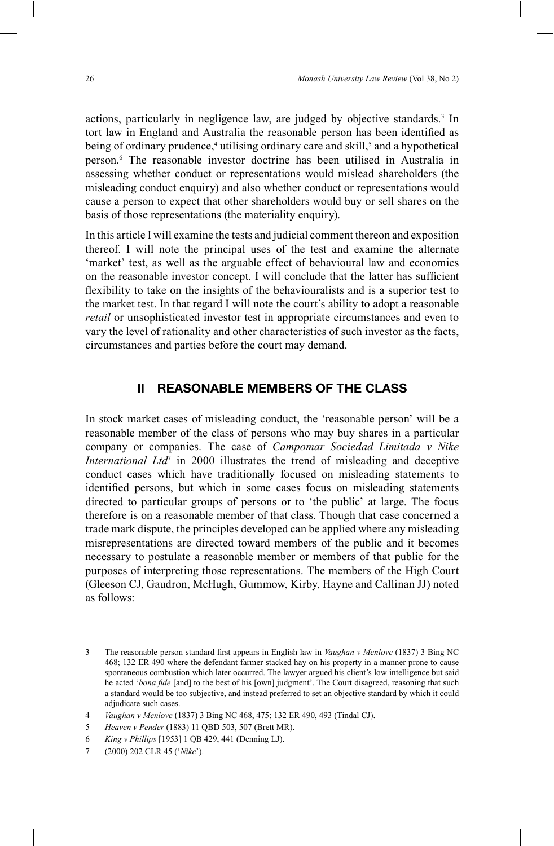actions, particularly in negligence law, are judged by objective standards.<sup>3</sup> In tort law in England and Australia the reasonable person has been identified as being of ordinary prudence,<sup>4</sup> utilising ordinary care and skill,<sup>5</sup> and a hypothetical person.6 The reasonable investor doctrine has been utilised in Australia in assessing whether conduct or representations would mislead shareholders (the misleading conduct enquiry) and also whether conduct or representations would cause a person to expect that other shareholders would buy or sell shares on the basis of those representations (the materiality enquiry).

In this article I will examine the tests and judicial comment thereon and exposition thereof. I will note the principal uses of the test and examine the alternate 'market' test, as well as the arguable effect of behavioural law and economics on the reasonable investor concept. I will conclude that the latter has sufficient exibility to take on the insights of the behaviouralists and is a superior test to the market test. In that regard I will note the court's ability to adopt a reasonable *retail* or unsophisticated investor test in appropriate circumstances and even to vary the level of rationality and other characteristics of such investor as the facts, circumstances and parties before the court may demand.

#### **II REASONABLE MEMBERS OF THE CLASS**

In stock market cases of misleading conduct, the 'reasonable person' will be a reasonable member of the class of persons who may buy shares in a particular company or companies. The case of *Campomar Sociedad Limitada v Nike International Ltd*<sup>7</sup> in 2000 illustrates the trend of misleading and deceptive conduct cases which have traditionally focused on misleading statements to identified persons, but which in some cases focus on misleading statements directed to particular groups of persons or to 'the public' at large. The focus therefore is on a reasonable member of that class. Though that case concerned a trade mark dispute, the principles developed can be applied where any misleading misrepresentations are directed toward members of the public and it becomes necessary to postulate a reasonable member or members of that public for the purposes of interpreting those representations. The members of the High Court (Gleeson CJ, Gaudron, McHugh, Gummow, Kirby, Hayne and Callinan JJ) noted as follows:

<sup>3</sup> The reasonable person standard first appears in English law in *Vaughan v Menlove* (1837) 3 Bing NC 468; 132 ER 490 where the defendant farmer stacked hay on his property in a manner prone to cause spontaneous combustion which later occurred. The lawyer argued his client's low intelligence but said he acted '*bona fide* [and] to the best of his [own] judgment'. The Court disagreed, reasoning that such a standard would be too subjective, and instead preferred to set an objective standard by which it could adjudicate such cases.

<sup>4</sup> *Vaughan v Menlove* (1837) 3 Bing NC 468, 475; 132 ER 490, 493 (Tindal CJ).

<sup>5</sup> *Heaven v Pender* (1883) 11 QBD 503, 507 (Brett MR).

<sup>6</sup> *King v Phillips* [1953] 1 QB 429, 441 (Denning LJ).

<sup>7 (2000) 202</sup> CLR 45 ('Nike').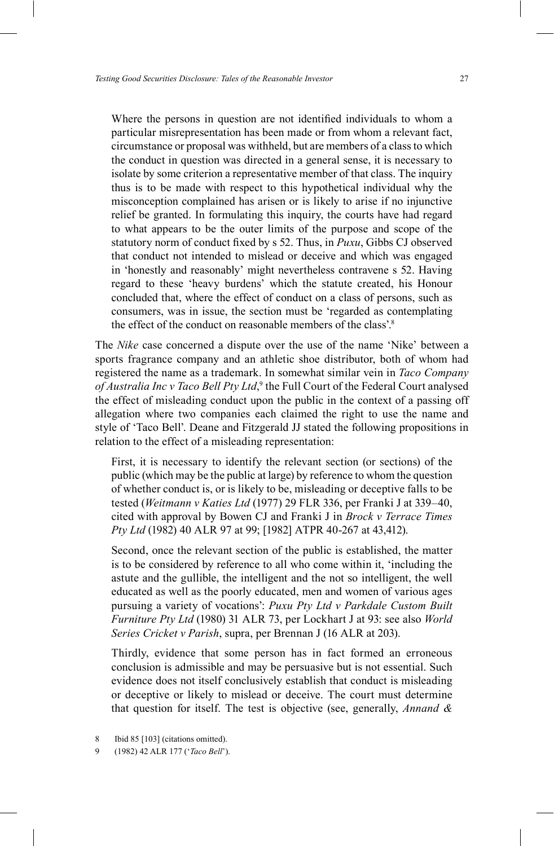Where the persons in question are not identified individuals to whom a particular misrepresentation has been made or from whom a relevant fact, circumstance or proposal was withheld, but are members of a class to which the conduct in question was directed in a general sense, it is necessary to isolate by some criterion a representative member of that class. The inquiry thus is to be made with respect to this hypothetical individual why the misconception complained has arisen or is likely to arise if no injunctive relief be granted. In formulating this inquiry, the courts have had regard to what appears to be the outer limits of the purpose and scope of the statutory norm of conduct fixed by s 52. Thus, in *Puxu*, Gibbs CJ observed that conduct not intended to mislead or deceive and which was engaged in 'honestly and reasonably' might nevertheless contravene s 52. Having regard to these 'heavy burdens' which the statute created, his Honour concluded that, where the effect of conduct on a class of persons, such as consumers, was in issue, the section must be 'regarded as contemplating the effect of the conduct on reasonable members of the class'.<sup>8</sup>

The *Nike* case concerned a dispute over the use of the name 'Nike' between a sports fragrance company and an athletic shoe distributor, both of whom had registered the name as a trademark. In somewhat similar vein in *Taco Company*  of Australia Inc v Taco Bell Pty Ltd,<sup>9</sup> the Full Court of the Federal Court analysed the effect of misleading conduct upon the public in the context of a passing off allegation where two companies each claimed the right to use the name and style of 'Taco Bell'. Deane and Fitzgerald JJ stated the following propositions in relation to the effect of a misleading representation:

First, it is necessary to identify the relevant section (or sections) of the public (which may be the public at large) by reference to whom the question of whether conduct is, or is likely to be, misleading or deceptive falls to be tested (*Weitmann v Katies Ltd* (1977) 29 FLR 336, per Franki J at 339–40, cited with approval by Bowen CJ and Franki J in *Brock v Terrace Times Pty Ltd* (1982) 40 ALR 97 at 99; [1982] ATPR 40-267 at 43,412).

Second, once the relevant section of the public is established, the matter is to be considered by reference to all who come within it, 'including the astute and the gullible, the intelligent and the not so intelligent, the well educated as well as the poorly educated, men and women of various ages pursuing a variety of vocations': *Puxu Pty Ltd v Parkdale Custom Built Furniture Pty Ltd* (1980) 31 ALR 73, per Lockhart J at 93: see also *World Series Cricket v Parish*, supra, per Brennan J (16 ALR at 203).

Thirdly, evidence that some person has in fact formed an erroneous conclusion is admissible and may be persuasive but is not essential. Such evidence does not itself conclusively establish that conduct is misleading or deceptive or likely to mislead or deceive. The court must determine that question for itself. The test is objective (see, generally, *Annand &* 

<sup>8</sup> Ibid 85 [103] (citations omitted).

<sup>9 (1982) 42</sup> ALR 177 ('*Taco Bell*').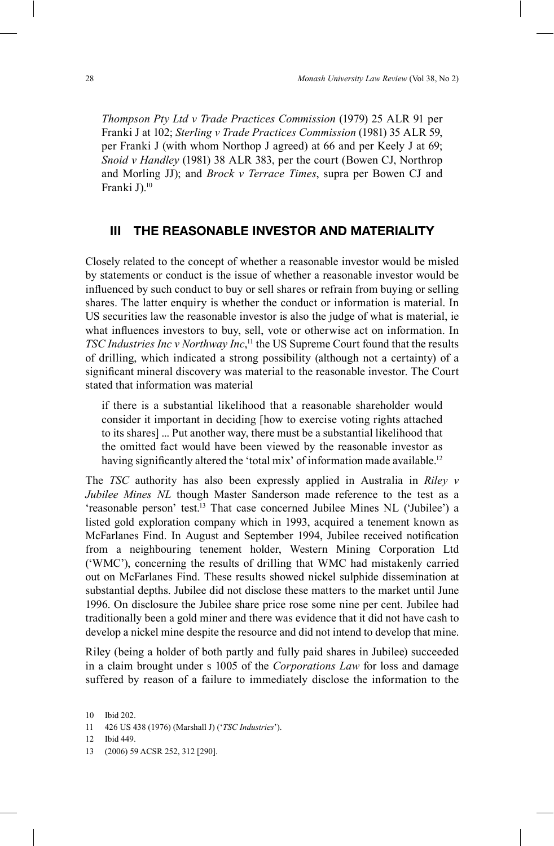*Thompson Pty Ltd v Trade Practices Commission* (1979) 25 ALR 91 per Franki J at 102; *Sterling v Trade Practices Commission* (1981) 35 ALR 59, per Franki J (with whom Northop J agreed) at 66 and per Keely J at 69; *Snoid v Handley* (1981) 38 ALR 383, per the court (Bowen CJ, Northrop and Morling JJ); and *Brock v Terrace Times*, supra per Bowen CJ and Franki J).<sup>10</sup>

#### **III THE REASONABLE INVESTOR AND MATERIALITY**

Closely related to the concept of whether a reasonable investor would be misled by statements or conduct is the issue of whether a reasonable investor would be in fluenced by such conduct to buy or sell shares or refrain from buying or selling shares. The latter enquiry is whether the conduct or information is material. In US securities law the reasonable investor is also the judge of what is material, ie what influences investors to buy, sell, vote or otherwise act on information. In *TSC Industries Inc v Northway Inc*, 11 the US Supreme Court found that the results of drilling, which indicated a strong possibility (although not a certainty) of a significant mineral discovery was material to the reasonable investor. The Court stated that information was material

if there is a substantial likelihood that a reasonable shareholder would consider it important in deciding [how to exercise voting rights attached to its shares] ... Put another way, there must be a substantial likelihood that the omitted fact would have been viewed by the reasonable investor as having significantly altered the 'total mix' of information made available.<sup>12</sup>

The *TSC* authority has also been expressly applied in Australia in *Riley v Jubilee Mines NL* though Master Sanderson made reference to the test as a 'reasonable person' test.<sup>13</sup> That case concerned Jubilee Mines NL ('Jubilee') a listed gold exploration company which in 1993, acquired a tenement known as McFarlanes Find. In August and September 1994, Jubilee received notification from a neighbouring tenement holder, Western Mining Corporation Ltd  $(WMC)$ , concerning the results of drilling that WMC had mistakenly carried out on McFarlanes Find. These results showed nickel sulphide dissemination at substantial depths. Jubilee did not disclose these matters to the market until June 1996. On disclosure the Jubilee share price rose some nine per cent. Jubilee had traditionally been a gold miner and there was evidence that it did not have cash to develop a nickel mine despite the resource and did not intend to develop that mine.

Riley (being a holder of both partly and fully paid shares in Jubilee) succeeded in a claim brought under s 1005 of the *Corporations Law* for loss and damage suffered by reason of a failure to immediately disclose the information to the

<sup>10</sup> Ibid 202.

<sup>11 426</sup> US 438 (1976) (Marshall J) ('TSC Industries').

<sup>12</sup> Ibid 449.

<sup>13 (2006) 59</sup> ACSR 252, 312 [290].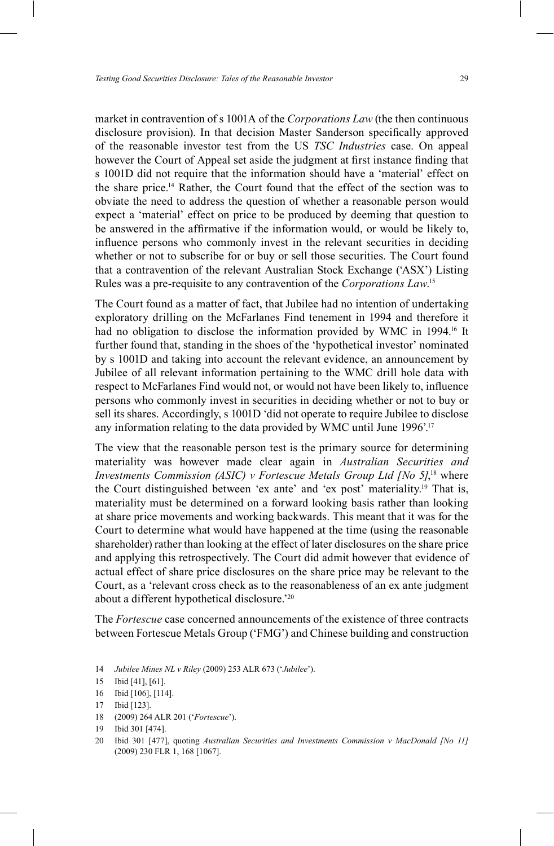market in contravention of s 1001A of the *Corporations Law* (the then continuous disclosure provision). In that decision Master Sanderson specifically approved of the reasonable investor test from the US *TSC Industries* case. On appeal however the Court of Appeal set aside the judgment at first instance finding that s 1001D did not require that the information should have a 'material' effect on the share price.14 Rather, the Court found that the effect of the section was to obviate the need to address the question of whether a reasonable person would expect a 'material' effect on price to be produced by deeming that question to be answered in the affirmative if the information would, or would be likely to, in fluence persons who commonly invest in the relevant securities in deciding whether or not to subscribe for or buy or sell those securities. The Court found that a contravention of the relevant Australian Stock Exchange ( $\angle$ ASX $\degree$ ) Listing Rules was a pre-requisite to any contravention of the *Corporations Law*. 15

The Court found as a matter of fact, that Jubilee had no intention of undertaking exploratory drilling on the McFarlanes Find tenement in 1994 and therefore it had no obligation to disclose the information provided by WMC in 1994.<sup>16</sup> It further found that, standing in the shoes of the 'hypothetical investor' nominated by s 1001D and taking into account the relevant evidence, an announcement by Jubilee of all relevant information pertaining to the WMC drill hole data with respect to McFarlanes Find would not, or would not have been likely to, influence persons who commonly invest in securities in deciding whether or not to buy or sell its shares. Accordingly, s 1001D 'did not operate to require Jubilee to disclose any information relating to the data provided by WMC until June  $1996$ <sup>"17</sup>

The view that the reasonable person test is the primary source for determining materiality was however made clear again in *Australian Securities and Investments Commission (ASIC) v Fortescue Metals Group Ltd [No 5]*,<sup>18</sup> where the Court distinguished between 'ex ante' and 'ex post' materiality.<sup>19</sup> That is, materiality must be determined on a forward looking basis rather than looking at share price movements and working backwards. This meant that it was for the Court to determine what would have happened at the time (using the reasonable shareholder) rather than looking at the effect of later disclosures on the share price and applying this retrospectively. The Court did admit however that evidence of actual effect of share price disclosures on the share price may be relevant to the Court, as a 'relevant cross check as to the reasonableness of an ex ante judgment about a different hypothetical disclosure.<sup>220</sup>

The *Fortescue* case concerned announcements of the existence of three contracts between Fortescue Metals Group ('FMG') and Chinese building and construction

14 *Jubilee Mines NL v Riley* (2009) 253 ALR 673 ('*Jubilee'*).

16 Ibid [106], [114].

- 18 (2009) 264 ALR 201 ('Fortescue').
- 19 Ibid 301 [474].

<sup>15</sup> Ibid [41], [61].

<sup>17</sup> Ibid [123].

<sup>20</sup> Ibid 301 [477], quoting *Australian Securities and Investments Commission v MacDonald [No 11]* (2009) 230 FLR 1, 168 [1067].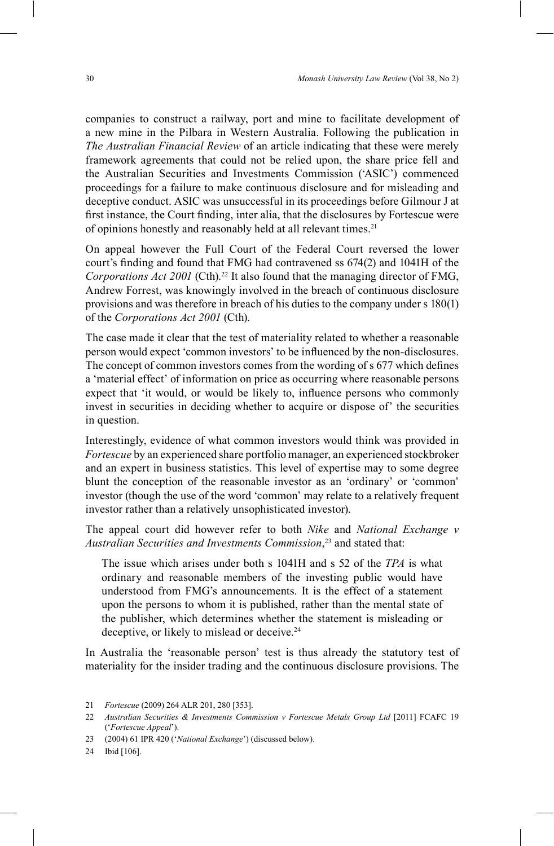companies to construct a railway, port and mine to facilitate development of a new mine in the Pilbara in Western Australia. Following the publication in *The Australian Financial Review* of an article indicating that these were merely framework agreements that could not be relied upon, the share price fell and the Australian Securities and Investments Commission ('ASIC') commenced proceedings for a failure to make continuous disclosure and for misleading and deceptive conduct. ASIC was unsuccessful in its proceedings before Gilmour J at first instance, the Court finding, inter alia, that the disclosures by Fortescue were of opinions honestly and reasonably held at all relevant times.<sup>21</sup>

On appeal however the Full Court of the Federal Court reversed the lower court's finding and found that FMG had contravened ss  $674(2)$  and  $1041H$  of the *Corporations Act 2001* (Cth).<sup>22</sup> It also found that the managing director of FMG, Andrew Forrest, was knowingly involved in the breach of continuous disclosure provisions and was therefore in breach of his duties to the company under s 180(1) of the *Corporations Act 2001* (Cth).

The case made it clear that the test of materiality related to whether a reasonable person would expect 'common investors' to be influenced by the non-disclosures. The concept of common investors comes from the wording of s 677 which defines a 'material effect' of information on price as occurring where reasonable persons expect that 'it would, or would be likely to, influence persons who commonly invest in securities in deciding whether to acquire or dispose of the securities in question.

Interestingly, evidence of what common investors would think was provided in *Fortescue* by an experienced share portfolio manager, an experienced stockbroker and an expert in business statistics. This level of expertise may to some degree blunt the conception of the reasonable investor as an 'ordinary' or 'common' investor (though the use of the word 'common' may relate to a relatively frequent investor rather than a relatively unsophisticated investor).

The appeal court did however refer to both *Nike* and *National Exchange v Australian Securities and Investments Commission*, <sup>23</sup> and stated that:

The issue which arises under both s 1041H and s 52 of the *TPA* is what ordinary and reasonable members of the investing public would have understood from FMG's announcements. It is the effect of a statement upon the persons to whom it is published, rather than the mental state of the publisher, which determines whether the statement is misleading or deceptive, or likely to mislead or deceive.24

In Australia the 'reasonable person' test is thus already the statutory test of materiality for the insider trading and the continuous disclosure provisions. The

<sup>21</sup> *Fortescue* (2009) 264 ALR 201, 280 [353].

<sup>22</sup> *Australian Securities & Investments Commission v Fortescue Metals Group Ltd* [2011] FCAFC 19 ('Fortescue Appeal').

<sup>23 (2004) 61</sup> IPR 420 ('*National Exchange*') (discussed below).

<sup>24</sup> Ibid [106].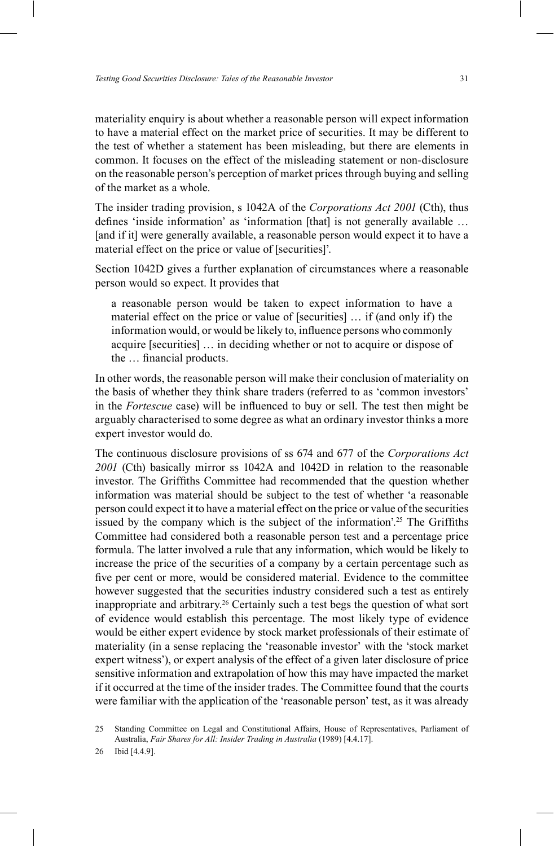materiality enquiry is about whether a reasonable person will expect information to have a material effect on the market price of securities. It may be different to the test of whether a statement has been misleading, but there are elements in common. It focuses on the effect of the misleading statement or non-disclosure on the reasonable person's perception of market prices through buying and selling of the market as a whole.

The insider trading provision, s 1042A of the *Corporations Act 2001* (Cth), thus defines 'inside information' as 'information [that] is not generally available  $\dots$ [and if it] were generally available, a reasonable person would expect it to have a material effect on the price or value of [securities]'.

Section 1042D gives a further explanation of circumstances where a reasonable person would so expect. It provides that

a reasonable person would be taken to expect information to have a material effect on the price or value of  $[securities] \dots$  if (and only if) the information would, or would be likely to, influence persons who commonly acquire [securities] ... in deciding whether or not to acquire or dispose of the ... financial products.

In other words, the reasonable person will make their conclusion of materiality on the basis of whether they think share traders (referred to as 'common investors' in the *Fortescue* case) will be influenced to buy or sell. The test then might be arguably characterised to some degree as what an ordinary investor thinks a more expert investor would do.

The continuous disclosure provisions of ss 674 and 677 of the *Corporations Act 2001* (Cth) basically mirror ss 1042A and 1042D in relation to the reasonable investor. The Griffiths Committee had recommended that the question whether information was material should be subject to the test of whether 'a reasonable person could expect it to have a material effect on the price or value of the securities issued by the company which is the subject of the information<sup>'25</sup>. The Griffiths Committee had considered both a reasonable person test and a percentage price formula. The latter involved a rule that any information, which would be likely to increase the price of the securities of a company by a certain percentage such as five per cent or more, would be considered material. Evidence to the committee however suggested that the securities industry considered such a test as entirely inappropriate and arbitrary.26 Certainly such a test begs the question of what sort of evidence would establish this percentage. The most likely type of evidence would be either expert evidence by stock market professionals of their estimate of materiality (in a sense replacing the 'reasonable investor' with the 'stock market expert witness'), or expert analysis of the effect of a given later disclosure of price sensitive information and extrapolation of how this may have impacted the market if it occurred at the time of the insider trades. The Committee found that the courts were familiar with the application of the 'reasonable person' test, as it was already

25 Standing Committee on Legal and Constitutional Affairs, House of Representatives, Parliament of Australia, *Fair Shares for All: Insider Trading in Australia* (1989) [4.4.17].

26 Ibid [4.4.9].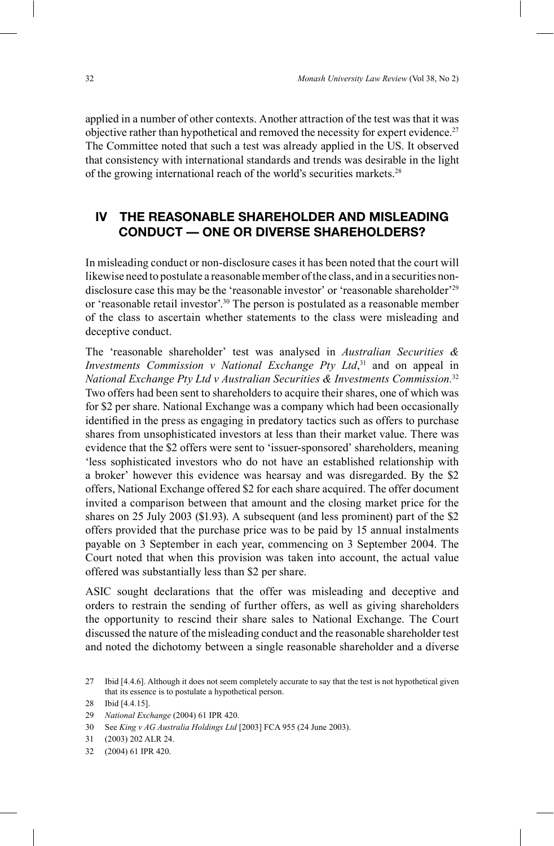applied in a number of other contexts. Another attraction of the test was that it was objective rather than hypothetical and removed the necessity for expert evidence.<sup>27</sup> The Committee noted that such a test was already applied in the US. It observed that consistency with international standards and trends was desirable in the light of the growing international reach of the world's securities markets.<sup>28</sup>

#### **IV THE REASONABLE SHAREHOLDER AND MISLEADING CONDUCT — ONE OR DIVERSE SHAREHOLDERS?**

In misleading conduct or non-disclosure cases it has been noted that the court will likewise need to postulate a reasonable member of the class, and in a securities nondisclosure case this may be the 'reasonable investor' or 'reasonable shareholder'<sup>29</sup> or 'reasonable retail investor'.<sup>30</sup> The person is postulated as a reasonable member of the class to ascertain whether statements to the class were misleading and deceptive conduct.

The 'reasonable shareholder' test was analysed in *Australian Securities & Investments Commission v National Exchange Pty Ltd*, 31 and on appeal in *National Exchange Pty Ltd v Australian Securities & Investments Commission.*<sup>32</sup> Two offers had been sent to shareholders to acquire their shares, one of which was for \$2 per share. National Exchange was a company which had been occasionally identified in the press as engaging in predatory tactics such as offers to purchase shares from unsophisticated investors at less than their market value. There was evidence that the \$2 offers were sent to 'issuer-sponsored' shareholders, meaning less sophisticated investors who do not have an established relationship with a broker' however this evidence was hearsay and was disregarded. By the \$2 offers, National Exchange offered \$2 for each share acquired. The offer document invited a comparison between that amount and the closing market price for the shares on 25 July 2003 (\$1.93). A subsequent (and less prominent) part of the \$2 offers provided that the purchase price was to be paid by 15 annual instalments payable on 3 September in each year, commencing on 3 September 2004. The Court noted that when this provision was taken into account, the actual value offered was substantially less than \$2 per share.

ASIC sought declarations that the offer was misleading and deceptive and orders to restrain the sending of further offers, as well as giving shareholders the opportunity to rescind their share sales to National Exchange. The Court discussed the nature of the misleading conduct and the reasonable shareholder test and noted the dichotomy between a single reasonable shareholder and a diverse

<sup>27</sup> Ibid [4.4.6]. Although it does not seem completely accurate to say that the test is not hypothetical given that its essence is to postulate a hypothetical person.

<sup>28</sup> Ibid [4.4.15].

<sup>29</sup> *National Exchange* (2004) 61 IPR 420.

<sup>30</sup> See *King v AG Australia Holdings Ltd* [2003] FCA 955 (24 June 2003).

<sup>31 (2003) 202</sup> ALR 24.

<sup>32 (2004) 61</sup> IPR 420.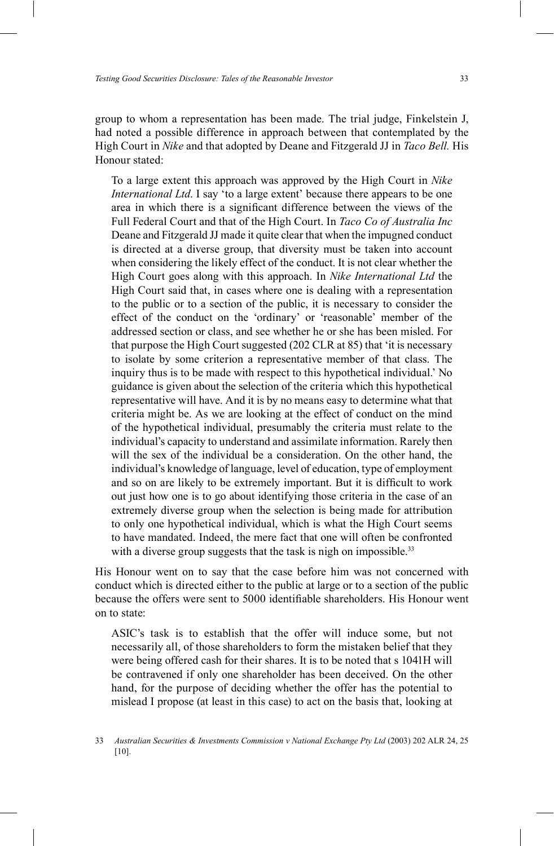group to whom a representation has been made. The trial judge, Finkelstein J, had noted a possible difference in approach between that contemplated by the High Court in *Nike* and that adopted by Deane and Fitzgerald JJ in *Taco Bell.* His Honour stated:

To a large extent this approach was approved by the High Court in *Nike International Ltd*. I say 'to a large extent' because there appears to be one area in which there is a significant difference between the views of the Full Federal Court and that of the High Court. In *Taco Co of Australia Inc*  Deane and Fitzgerald JJ made it quite clear that when the impugned conduct is directed at a diverse group, that diversity must be taken into account when considering the likely effect of the conduct. It is not clear whether the High Court goes along with this approach. In *Nike International Ltd* the High Court said that, in cases where one is dealing with a representation to the public or to a section of the public, it is necessary to consider the effect of the conduct on the 'ordinary' or 'reasonable' member of the addressed section or class, and see whether he or she has been misled. For that purpose the High Court suggested  $(202 \text{ CLR at } 85)$  that 'it is necessary to isolate by some criterion a representative member of that class. The inquiry thus is to be made with respect to this hypothetical individual. No guidance is given about the selection of the criteria which this hypothetical representative will have. And it is by no means easy to determine what that criteria might be. As we are looking at the effect of conduct on the mind of the hypothetical individual, presumably the criteria must relate to the individual's capacity to understand and assimilate information. Rarely then will the sex of the individual be a consideration. On the other hand, the individual's knowledge of language, level of education, type of employment and so on are likely to be extremely important. But it is difficult to work out just how one is to go about identifying those criteria in the case of an extremely diverse group when the selection is being made for attribution to only one hypothetical individual, which is what the High Court seems to have mandated. Indeed, the mere fact that one will often be confronted with a diverse group suggests that the task is nigh on impossible.<sup>33</sup>

His Honour went on to say that the case before him was not concerned with conduct which is directed either to the public at large or to a section of the public because the offers were sent to 5000 identifiable shareholders. His Honour went on to state:

ASIC's task is to establish that the offer will induce some, but not necessarily all, of those shareholders to form the mistaken belief that they were being offered cash for their shares. It is to be noted that s 1041H will be contravened if only one shareholder has been deceived. On the other hand, for the purpose of deciding whether the offer has the potential to mislead I propose (at least in this case) to act on the basis that, looking at

<sup>33</sup> *Australian Securities & Investments Commission v National Exchange Pty Ltd* (2003) 202 ALR 24, 25 [10].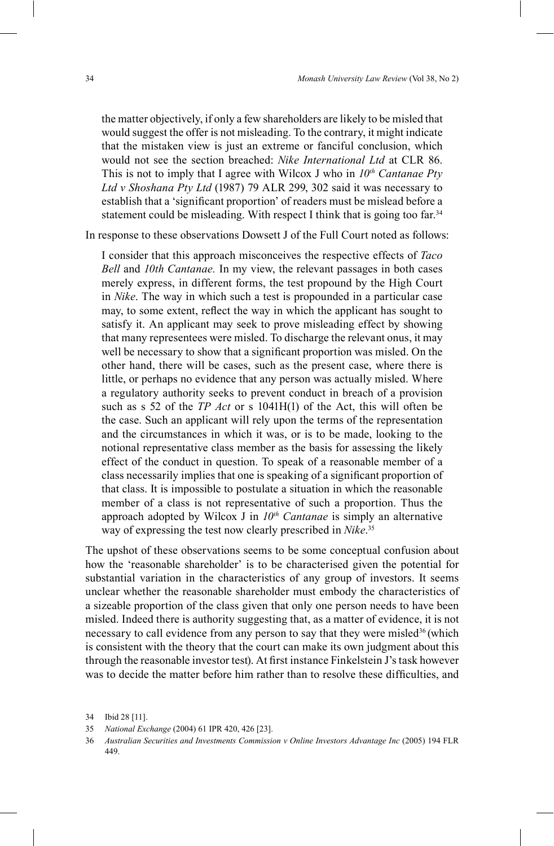the matter objectively, if only a few shareholders are likely to be misled that would suggest the offer is not misleading. To the contrary, it might indicate that the mistaken view is just an extreme or fanciful conclusion, which would not see the section breached: *Nike International Ltd* at CLR 86. This is not to imply that I agree with Wilcox J who in *10th Cantanae Pty Ltd v Shoshana Pty Ltd* (1987) 79 ALR 299, 302 said it was necessary to establish that a 'significant proportion' of readers must be mislead before a statement could be misleading. With respect I think that is going too far.<sup>34</sup>

In response to these observations Dowsett J of the Full Court noted as follows:

I consider that this approach misconceives the respective effects of *Taco Bell* and *10th Cantanae.* In my view, the relevant passages in both cases merely express, in different forms, the test propound by the High Court in *Nike*. The way in which such a test is propounded in a particular case may, to some extent, reflect the way in which the applicant has sought to satisfy it. An applicant may seek to prove misleading effect by showing that many representees were misled. To discharge the relevant onus, it may well be necessary to show that a significant proportion was misled. On the other hand, there will be cases, such as the present case, where there is little, or perhaps no evidence that any person was actually misled. Where a regulatory authority seeks to prevent conduct in breach of a provision such as s 52 of the *TP Act* or s 1041H(1) of the Act, this will often be the case. Such an applicant will rely upon the terms of the representation and the circumstances in which it was, or is to be made, looking to the notional representative class member as the basis for assessing the likely effect of the conduct in question. To speak of a reasonable member of a class necessarily implies that one is speaking of a significant proportion of that class. It is impossible to postulate a situation in which the reasonable member of a class is not representative of such a proportion. Thus the approach adopted by Wilcox J in  $10<sup>th</sup>$  Cantanae is simply an alternative way of expressing the test now clearly prescribed in *Nike*. 35

The upshot of these observations seems to be some conceptual confusion about how the 'reasonable shareholder' is to be characterised given the potential for substantial variation in the characteristics of any group of investors. It seems unclear whether the reasonable shareholder must embody the characteristics of a sizeable proportion of the class given that only one person needs to have been misled. Indeed there is authority suggesting that, as a matter of evidence, it is not necessary to call evidence from any person to say that they were misled<sup>36</sup> (which is consistent with the theory that the court can make its own judgment about this through the reasonable investor test). At first instance Finkelstein J's task however was to decide the matter before him rather than to resolve these difficulties, and

<sup>34</sup> Ibid 28 [11].

<sup>35</sup> *National Exchange* (2004) 61 IPR 420, 426 [23].

<sup>36</sup> *Australian Securities and Investments Commission v Online Investors Advantage Inc* (2005) 194 FLR 449.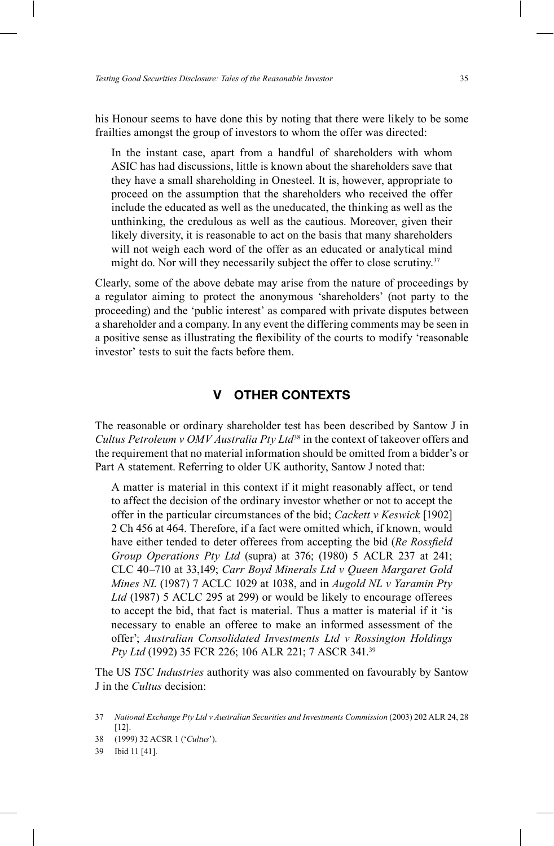his Honour seems to have done this by noting that there were likely to be some frailties amongst the group of investors to whom the offer was directed:

In the instant case, apart from a handful of shareholders with whom ASIC has had discussions, little is known about the shareholders save that they have a small shareholding in Onesteel. It is, however, appropriate to proceed on the assumption that the shareholders who received the offer include the educated as well as the uneducated, the thinking as well as the unthinking, the credulous as well as the cautious. Moreover, given their likely diversity, it is reasonable to act on the basis that many shareholders will not weigh each word of the offer as an educated or analytical mind might do. Nor will they necessarily subject the offer to close scrutiny.<sup>37</sup>

Clearly, some of the above debate may arise from the nature of proceedings by a regulator aiming to protect the anonymous 'shareholders' (not party to the proceeding) and the 'public interest' as compared with private disputes between a shareholder and a company. In any event the differing comments may be seen in a positive sense as illustrating the flexibility of the courts to modify 'reasonable investor' tests to suit the facts before them.

#### **V OTHER CONTEXTS**

The reasonable or ordinary shareholder test has been described by Santow J in *Cultus Petroleum v OMV Australia Pty Ltd*<sup>38</sup> in the context of takeover offers and the requirement that no material information should be omitted from a bidder's or Part A statement. Referring to older UK authority, Santow J noted that:

A matter is material in this context if it might reasonably affect, or tend to affect the decision of the ordinary investor whether or not to accept the offer in the particular circumstances of the bid; *Cackett v Keswick* [1902] 2 Ch 456 at 464. Therefore, if a fact were omitted which, if known, would have either tended to deter offerees from accepting the bid (*Re Rossfield Group Operations Pty Ltd* (supra) at 376; (1980) 5 ACLR 237 at 241; CLC 40\710 at 33,149; *Carr Boyd Minerals Ltd v Queen Margaret Gold Mines NL* (1987) 7 ACLC 1029 at 1038, and in *Augold NL v Yaramin Pty Ltd* (1987) 5 ACLC 295 at 299) or would be likely to encourage offerees to accept the bid, that fact is material. Thus a matter is material if it 'is necessary to enable an offeree to make an informed assessment of the offer'; Australian Consolidated Investments Ltd v Rossington Holdings *Pty Ltd* (1992) 35 FCR 226; 106 ALR 221; 7 ASCR 341.39

The US *TSC Industries* authority was also commented on favourably by Santow J in the *Cultus* decision:

<sup>37</sup> *National Exchange Pty Ltd v Australian Securities and Investments Commission* (2003) 202 ALR 24, 28 [12].

<sup>38 (1999) 32</sup> ACSR 1 ('Cultus').

<sup>39</sup> Ibid 11 [41].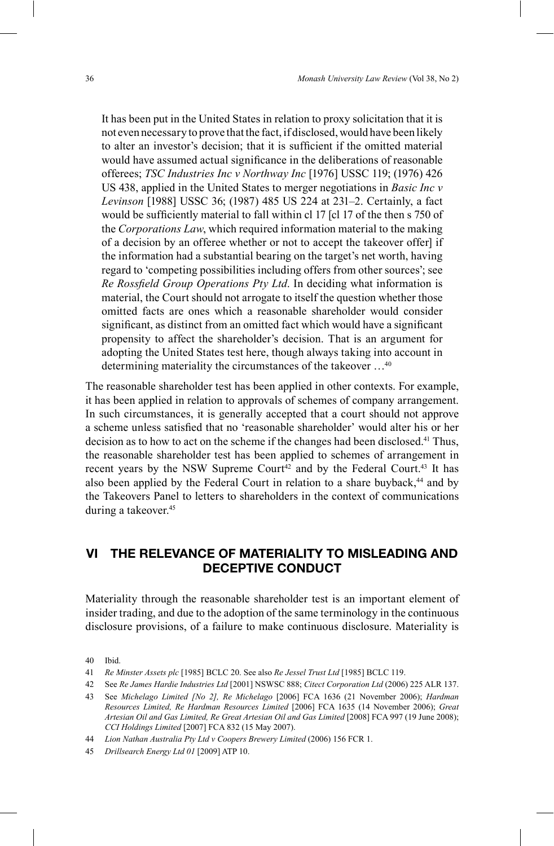It has been put in the United States in relation to proxy solicitation that it is not even necessary to prove that the fact, if disclosed, would have been likely to alter an investor's decision; that it is sufficient if the omitted material would have assumed actual significance in the deliberations of reasonable offerees; *TSC Industries Inc v Northway Inc* [1976] USSC 119; (1976) 426 US 438, applied in the United States to merger negotiations in *Basic Inc v Levinson* [1988] USSC 36; (1987) 485 US 224 at 231\2. Certainly, a fact would be sufficiently material to fall within cl 17 [cl 17 of the then s 750 of the *Corporations Law*, which required information material to the making of a decision by an offeree whether or not to accept the takeover offer] if the information had a substantial bearing on the target's net worth, having regard to 'competing possibilities including offers from other sources'; see *Re Rossfield Group Operations Pty Ltd.* In deciding what information is material, the Court should not arrogate to itself the question whether those omitted facts are ones which a reasonable shareholder would consider significant, as distinct from an omitted fact which would have a significant propensity to affect the shareholder's decision. That is an argument for adopting the United States test here, though always taking into account in determining materiality the circumstances of the takeover ...<sup>40</sup>

The reasonable shareholder test has been applied in other contexts. For example, it has been applied in relation to approvals of schemes of company arrangement. In such circumstances, it is generally accepted that a court should not approve a scheme unless satisfied that no 'reasonable shareholder' would alter his or her decision as to how to act on the scheme if the changes had been disclosed.<sup>41</sup> Thus, the reasonable shareholder test has been applied to schemes of arrangement in recent years by the NSW Supreme Court<sup>42</sup> and by the Federal Court.<sup>43</sup> It has also been applied by the Federal Court in relation to a share buyback,<sup>44</sup> and by the Takeovers Panel to letters to shareholders in the context of communications during a takeover.45

## **VI THE RELEVANCE OF MATERIALITY TO MISLEADING AND DECEPTIVE CONDUCT**

Materiality through the reasonable shareholder test is an important element of insider trading, and due to the adoption of the same terminology in the continuous disclosure provisions, of a failure to make continuous disclosure. Materiality is

40 Ibid.

45 *Drillsearch Energy Ltd 01* [2009] ATP 10.

<sup>41</sup> *Re Minster Assets plc* [1985] BCLC 20. See also *Re Jessel Trust Ltd* [1985] BCLC 119.

<sup>42</sup> See *Re James Hardie Industries Ltd* [2001] NSWSC 888; *Citect Corporation Ltd* (2006) 225 ALR 137.

<sup>43</sup> See *Michelago Limited [No 2], Re Michelago* [2006] FCA 1636 (21 November 2006); *Hardman Resources Limited, Re Hardman Resources Limited* [2006] FCA 1635 (14 November 2006); *Great Artesian Oil and Gas Limited, Re Great Artesian Oil and Gas Limited* [2008] FCA 997 (19 June 2008); *CCI Holdings Limited* [2007] FCA 832 (15 May 2007).

<sup>44</sup> *Lion Nathan Australia Pty Ltd v Coopers Brewery Limited* (2006) 156 FCR 1.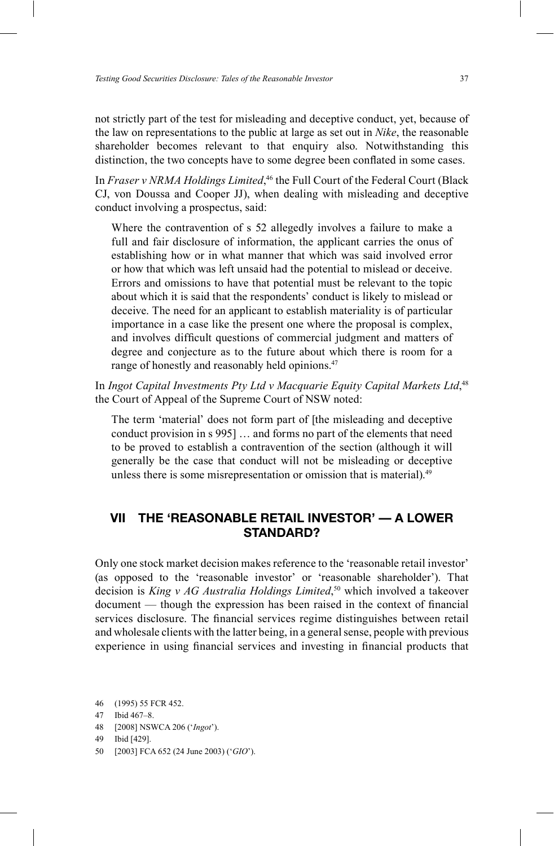not strictly part of the test for misleading and deceptive conduct, yet, because of the law on representations to the public at large as set out in *Nike*, the reasonable shareholder becomes relevant to that enquiry also. Notwithstanding this distinction, the two concepts have to some degree been conflated in some cases.

In *Fraser v NRMA Holdings Limited*,<sup>46</sup> the Full Court of the Federal Court (Black CJ, von Doussa and Cooper JJ), when dealing with misleading and deceptive conduct involving a prospectus, said:

Where the contravention of s 52 allegedly involves a failure to make a full and fair disclosure of information, the applicant carries the onus of establishing how or in what manner that which was said involved error or how that which was left unsaid had the potential to mislead or deceive. Errors and omissions to have that potential must be relevant to the topic about which it is said that the respondents' conduct is likely to mislead or deceive. The need for an applicant to establish materiality is of particular importance in a case like the present one where the proposal is complex, and involves difficult questions of commercial judgment and matters of degree and conjecture as to the future about which there is room for a range of honestly and reasonably held opinions.<sup>47</sup>

In *Ingot Capital Investments Pty Ltd v Macquarie Equity Capital Markets Ltd*,<sup>48</sup> the Court of Appeal of the Supreme Court of NSW noted:

The term 'material' does not form part of [the misleading and deceptive conduct provision in  $s$  995]  $\dots$  and forms no part of the elements that need to be proved to establish a contravention of the section (although it will generally be the case that conduct will not be misleading or deceptive unless there is some misrepresentation or omission that is material).<sup>49</sup>

### **VII THE 'REASONABLE RETAIL INVESTOR' — A LOWER STANDARD?**

Only one stock market decision makes reference to the 'reasonable retail investor' (as opposed to the 'reasonable investor' or 'reasonable shareholder'). That decision is *King v AG Australia Holdings Limited*, 50 which involved a takeover document — though the expression has been raised in the context of financial services disclosure. The financial services regime distinguishes between retail and wholesale clients with the latter being, in a general sense, people with previous experience in using financial services and investing in financial products that

46 (1995) 55 FCR 452.

50 [2003] FCA 652 (24 June 2003) ('*GIO*').

<sup>47</sup> Ibid 467-8.

<sup>48 [2008]</sup> NSWCA 206 ('Ingot').

<sup>49</sup> Ibid [429].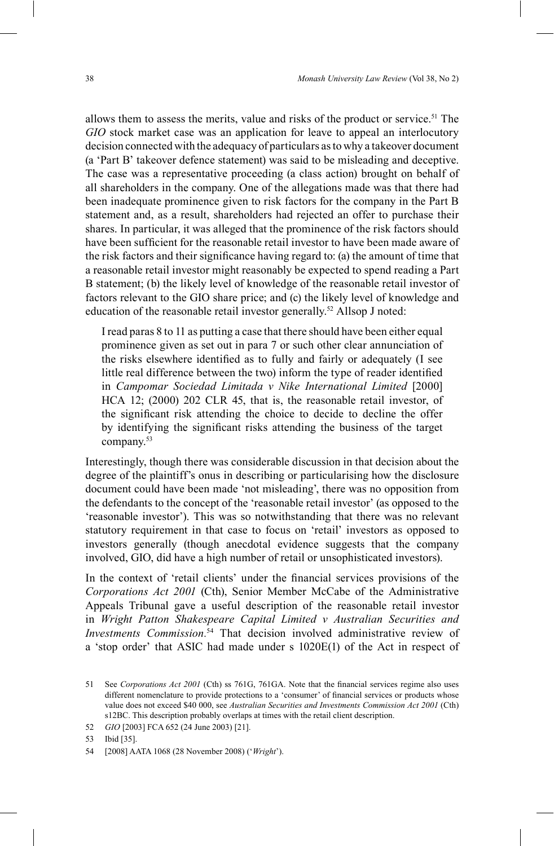allows them to assess the merits, value and risks of the product or service.<sup>51</sup> The *GIO* stock market case was an application for leave to appeal an interlocutory decision connected with the adequacy of particulars as to why a takeover document (a 'Part B' takeover defence statement) was said to be misleading and deceptive. The case was a representative proceeding (a class action) brought on behalf of all shareholders in the company. One of the allegations made was that there had been inadequate prominence given to risk factors for the company in the Part B statement and, as a result, shareholders had rejected an offer to purchase their shares. In particular, it was alleged that the prominence of the risk factors should have been sufficient for the reasonable retail investor to have been made aware of the risk factors and their significance having regard to: (a) the amount of time that a reasonable retail investor might reasonably be expected to spend reading a Part B statement; (b) the likely level of knowledge of the reasonable retail investor of factors relevant to the GIO share price; and (c) the likely level of knowledge and education of the reasonable retail investor generally.<sup>52</sup> Allsop J noted:

I read paras 8 to 11 as putting a case that there should have been either equal prominence given as set out in para 7 or such other clear annunciation of the risks elsewhere identified as to fully and fairly or adequately (I see little real difference between the two) inform the type of reader identified in *Campomar Sociedad Limitada v Nike International Limited* [2000] HCA 12; (2000) 202 CLR 45, that is, the reasonable retail investor, of the significant risk attending the choice to decide to decline the offer by identifying the significant risks attending the business of the target company.53

Interestingly, though there was considerable discussion in that decision about the degree of the plaintiff's onus in describing or particularising how the disclosure document could have been made 'not misleading', there was no opposition from the defendants to the concept of the 'reasonable retail investor' (as opposed to the 'reasonable investor'). This was so notwithstanding that there was no relevant statutory requirement in that case to focus on 'retail' investors as opposed to investors generally (though anecdotal evidence suggests that the company involved, GIO, did have a high number of retail or unsophisticated investors).

In the context of 'retail clients' under the financial services provisions of the *Corporations Act 2001* (Cth), Senior Member McCabe of the Administrative Appeals Tribunal gave a useful description of the reasonable retail investor in *Wright Patton Shakespeare Capital Limited v Australian Securities and Investments Commission.*54 That decision involved administrative review of a 'stop order' that ASIC had made under s  $1020E(1)$  of the Act in respect of

53 Ibid [35].

<sup>51</sup> See *Corporations Act 2001* (Cth) ss 761G, 761GA. Note that the nancial services regime also uses different nomenclature to provide protections to a 'consumer' of financial services or products whose value does not exceed \$40 000, see *Australian Securities and Investments Commission Act 2001* (Cth) s12BC. This description probably overlaps at times with the retail client description.

<sup>52</sup> *GIO* [2003] FCA 652 (24 June 2003) [21].

<sup>54 [2008]</sup> AATA 1068 (28 November 2008) ('Wright').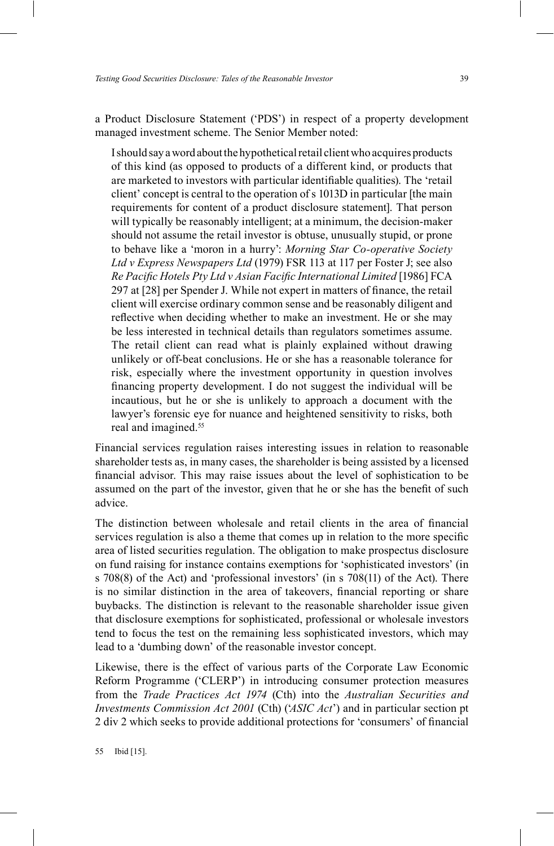a Product Disclosure Statement ('PDS') in respect of a property development managed investment scheme. The Senior Member noted:

I should say a word about the hypothetical retail client who acquires products of this kind (as opposed to products of a different kind, or products that are marketed to investors with particular identifiable qualities). The 'retail client' concept is central to the operation of s 1013D in particular [the main requirements for content of a product disclosure statement]. That person will typically be reasonably intelligent; at a minimum, the decision-maker should not assume the retail investor is obtuse, unusually stupid, or prone to behave like a 'moron in a hurry': *Morning Star Co-operative Society Ltd v Express Newspapers Ltd* (1979) FSR 113 at 117 per Foster J; see also *Re Pacific Hotels Pty Ltd v Asian Facific International Limited* [1986] FCA 297 at [28] per Spender J. While not expert in matters of finance, the retail client will exercise ordinary common sense and be reasonably diligent and reflective when deciding whether to make an investment. He or she may be less interested in technical details than regulators sometimes assume. The retail client can read what is plainly explained without drawing unlikely or off-beat conclusions. He or she has a reasonable tolerance for risk, especially where the investment opportunity in question involves nancing property development. I do not suggest the individual will be incautious, but he or she is unlikely to approach a document with the lawyer's forensic eye for nuance and heightened sensitivity to risks, both real and imagined.55

Financial services regulation raises interesting issues in relation to reasonable shareholder tests as, in many cases, the shareholder is being assisted by a licensed nancial advisor. This may raise issues about the level of sophistication to be assumed on the part of the investor, given that he or she has the benefit of such advice.

The distinction between wholesale and retail clients in the area of financial services regulation is also a theme that comes up in relation to the more specific area of listed securities regulation. The obligation to make prospectus disclosure on fund raising for instance contains exemptions for 'sophisticated investors' (in s 708(8) of the Act) and 'professional investors' (in s 708(11) of the Act). There is no similar distinction in the area of takeovers, financial reporting or share buybacks. The distinction is relevant to the reasonable shareholder issue given that disclosure exemptions for sophisticated, professional or wholesale investors tend to focus the test on the remaining less sophisticated investors, which may lead to a 'dumbing down' of the reasonable investor concept.

Likewise, there is the effect of various parts of the Corporate Law Economic Reform Programme ('CLERP') in introducing consumer protection measures from the *Trade Practices Act 1974* (Cth) into the *Australian Securities and Investments Commission Act 2001* (Cth) (*ASIC Act*<sup>2</sup>) and in particular section pt 2 div 2 which seeks to provide additional protections for 'consumers' of financial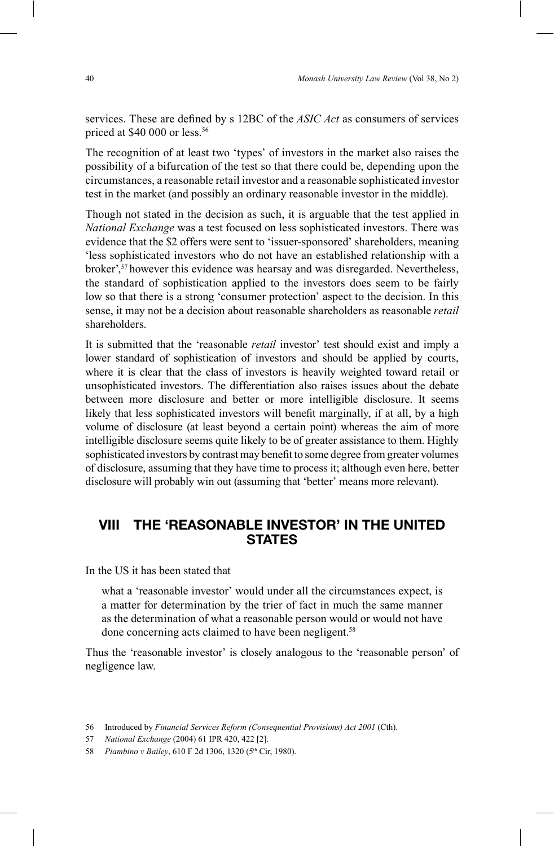services. These are defined by s 12BC of the *ASIC Act* as consumers of services priced at \$40 000 or less.<sup>56</sup>

The recognition of at least two 'types' of investors in the market also raises the possibility of a bifurcation of the test so that there could be, depending upon the circumstances, a reasonable retail investor and a reasonable sophisticated investor test in the market (and possibly an ordinary reasonable investor in the middle).

Though not stated in the decision as such, it is arguable that the test applied in *National Exchange* was a test focused on less sophisticated investors. There was evidence that the \$2 offers were sent to 'issuer-sponsored' shareholders, meaning less sophisticated investors who do not have an established relationship with a broker',<sup>57</sup> however this evidence was hearsay and was disregarded. Nevertheless, the standard of sophistication applied to the investors does seem to be fairly low so that there is a strong 'consumer protection' aspect to the decision. In this sense, it may not be a decision about reasonable shareholders as reasonable *retail* shareholders.

It is submitted that the 'reasonable *retail* investor' test should exist and imply a lower standard of sophistication of investors and should be applied by courts, where it is clear that the class of investors is heavily weighted toward retail or unsophisticated investors. The differentiation also raises issues about the debate between more disclosure and better or more intelligible disclosure. It seems likely that less sophisticated investors will benefit marginally, if at all, by a high volume of disclosure (at least beyond a certain point) whereas the aim of more intelligible disclosure seems quite likely to be of greater assistance to them. Highly sophisticated investors by contrast may benefit to some degree from greater volumes of disclosure, assuming that they have time to process it; although even here, better disclosure will probably win out (assuming that 'better' means more relevant).

# **VIII THE 'REASONABLE INVESTOR' IN THE UNITED STATES**

In the US it has been stated that

what a 'reasonable investor' would under all the circumstances expect, is a matter for determination by the trier of fact in much the same manner as the determination of what a reasonable person would or would not have done concerning acts claimed to have been negligent.<sup>58</sup>

Thus the 'reasonable investor' is closely analogous to the 'reasonable person' of negligence law.

<sup>56</sup> Introduced by *Financial Services Reform (Consequential Provisions) Act 2001* (Cth).

<sup>57</sup> *National Exchange* (2004) 61 IPR 420, 422 [2].

<sup>58</sup> *Piambino v Bailey*, 610 F 2d 1306, 1320 (5<sup>th</sup> Cir, 1980).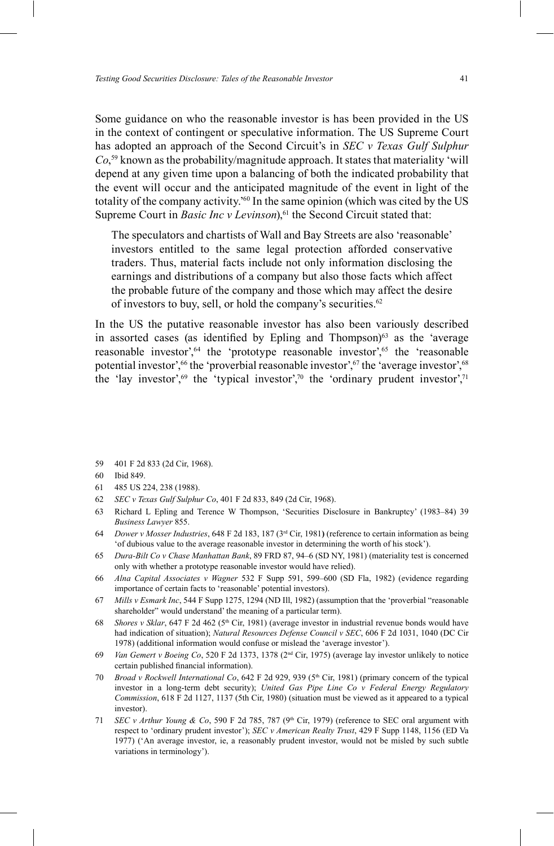Some guidance on who the reasonable investor is has been provided in the US in the context of contingent or speculative information. The US Supreme Court has adopted an approach of the Second Circuit's in *SEC v Texas Gulf Sulphur*  $Co<sub>2</sub>$ <sup>59</sup> known as the probability/magnitude approach. It states that materiality 'will depend at any given time upon a balancing of both the indicated probability that the event will occur and the anticipated magnitude of the event in light of the totality of the company activity.<sup>860</sup> In the same opinion (which was cited by the US Supreme Court in *Basic Inc v Levinson*),<sup>61</sup> the Second Circuit stated that:

The speculators and chartists of Wall and Bay Streets are also 'reasonable' investors entitled to the same legal protection afforded conservative traders. Thus, material facts include not only information disclosing the earnings and distributions of a company but also those facts which affect the probable future of the company and those which may affect the desire of investors to buy, sell, or hold the company's securities. $62$ 

In the US the putative reasonable investor has also been variously described in assorted cases (as identified by Epling and Thompson) $63$  as the 'average reasonable investor',  $64$  the 'prototype reasonable investor',  $65$  the 'reasonable potential investor',<sup>66</sup> the 'proverbial reasonable investor',<sup>67</sup> the 'average investor',<sup>68</sup> the 'lay investor',<sup>69</sup> the 'typical investor',<sup>70</sup> the 'ordinary prudent investor',<sup>71</sup>

- 59 401 F 2d 833 (2d Cir, 1968).
- 60 Ibid 849.
- 61 485 US 224, 238 (1988).
- 62 *SEC v Texas Gulf Sulphur Co*, 401 F 2d 833, 849 (2d Cir, 1968).
- 63 Richard L Epling and Terence W Thompson, 'Securities Disclosure in Bankruptcy' (1983–84) 39 *Business Lawyer* 855.
- 64 *Dower v Mosser Industries*, 648 F 2d 183, 187 (3rd Cir, 1981**)** (reference to certain information as being @of dubious value to the average reasonable investor in determining the worth of his stockB).
- 65 *Dura-Bilt Co v Chase Manhattan Bank*, 89 FRD 87, 94\6 (SD NY, 1981) (materiality test is concerned only with whether a prototype reasonable investor would have relied).
- 66 *Alna Capital Associates v Wagner* 532 F Supp 591, 599\600 (SD Fla, 1982) (evidence regarding importance of certain facts to 'reasonable' potential investors).
- 67 *Mills v Esmark Inc*, 544 F Supp 1275, 1294 (ND III, 1982) (assumption that the 'proverbial "reasonable shareholder" would understand' the meaning of a particular term).
- 68 *Shores v Sklar*, 647 F 2d 462 (5<sup>th</sup> Cir, 1981) (average investor in industrial revenue bonds would have had indication of situation); *Natural Resources Defense Council v SEC*, 606 F 2d 1031, 1040 (DC Cir 1978) (additional information would confuse or mislead the 'average investor').
- 69 *Van Gemert v Boeing Co*, 520 F 2d 1373, 1378 (2nd Cir, 1975) (average lay investor unlikely to notice certain published financial information).
- 70 *Broad v Rockwell International Co*, 642 F 2d 929, 939 (5<sup>th</sup> Cir, 1981) (primary concern of the typical investor in a long-term debt security); *United Gas Pipe Line Co v Federal Energy Regulatory Commission*, 618 F 2d 1127, 1137 (5th Cir, 1980) (situation must be viewed as it appeared to a typical investor).
- 71 *SEC v Arthur Young & Co*, 590 F 2d 785, 787 (9<sup>th</sup> Cir, 1979) (reference to SEC oral argument with respect to 'ordinary prudent investor'); *SEC v American Realty Trust*, 429 F Supp 1148, 1156 (ED Va 1977) ('An average investor, ie, a reasonably prudent investor, would not be misled by such subtle variations in terminology').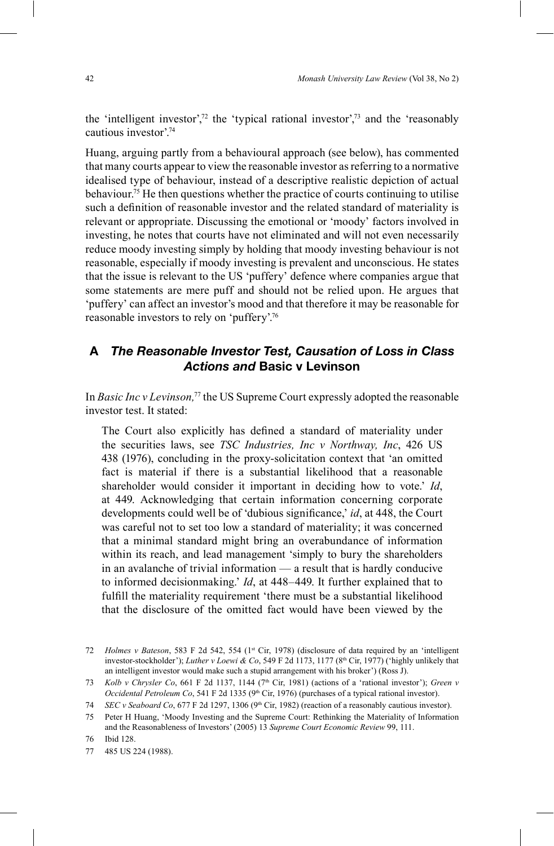the 'intelligent investor',<sup>72</sup> the 'typical rational investor',<sup>73</sup> and the 'reasonably cautious investor'.<sup>74</sup>

Huang, arguing partly from a behavioural approach (see below), has commented that many courts appear to view the reasonable investor as referring to a normative idealised type of behaviour, instead of a descriptive realistic depiction of actual behaviour.75 He then questions whether the practice of courts continuing to utilise such a definition of reasonable investor and the related standard of materiality is relevant or appropriate. Discussing the emotional or 'moody' factors involved in investing, he notes that courts have not eliminated and will not even necessarily reduce moody investing simply by holding that moody investing behaviour is not reasonable, especially if moody investing is prevalent and unconscious. He states that the issue is relevant to the US 'puffery' defence where companies argue that some statements are mere puff and should not be relied upon. He argues that 'puffery' can affect an investor's mood and that therefore it may be reasonable for reasonable investors to rely on 'puffery'.<sup>76</sup>

## **A** *The Reasonable Investor Test, Causation of Loss in Class Actions and* **Basic v Levinson**

In *Basic Inc v Levinson,*<sup>77</sup> the US Supreme Court expressly adopted the reasonable investor test. It stated:

The Court also explicitly has defined a standard of materiality under the securities laws, see *TSC Industries, Inc v Northway, Inc*, 426 US 438 (1976), concluding in the proxy-solicitation context that 'an omitted fact is material if there is a substantial likelihood that a reasonable shareholder would consider it important in deciding how to vote.' *Id*, at 449. Acknowledging that certain information concerning corporate developments could well be of 'dubious significance,' *id*, at 448, the Court was careful not to set too low a standard of materiality; it was concerned that a minimal standard might bring an overabundance of information within its reach, and lead management 'simply to bury the shareholders in an avalanche of trivial information  $-$  a result that is hardly conducive to informed decisionmaking.' *Id*, at 448–449. It further explained that to ful fill the materiality requirement 'there must be a substantial likelihood that the disclosure of the omitted fact would have been viewed by the

<sup>72</sup> *Holmes v Bateson*, 583 F 2d 542, 554 (1<sup>st</sup> Cir, 1978) (disclosure of data required by an 'intelligent investor-stockholder'); *Luther v Loewi & Co*, 549 F 2d 1173, 1177 (8<sup>th</sup> Cir, 1977) ('highly unlikely that an intelligent investor would make such a stupid arrangement with his broker') (Ross J).

<sup>73</sup> *Kolb v Chrysler Co*, 661 F 2d 1137, 1144 (7<sup>th</sup> Cir, 1981) (actions of a 'rational investor'); *Green v Occidental Petroleum Co*, 541 F 2d 1335 (9<sup>th</sup> Cir, 1976) (purchases of a typical rational investor).

<sup>74</sup> *SEC v Seaboard Co*, 677 F 2d 1297, 1306 (9th Cir, 1982) (reaction of a reasonably cautious investor).

<sup>75</sup> Peter H Huang, 'Moody Investing and the Supreme Court: Rethinking the Materiality of Information and the Reasonableness of Investors' (2005) 13 *Supreme Court Economic Review* 99, 111.

<sup>76</sup> Ibid 128.

<sup>77 485</sup> US 224 (1988).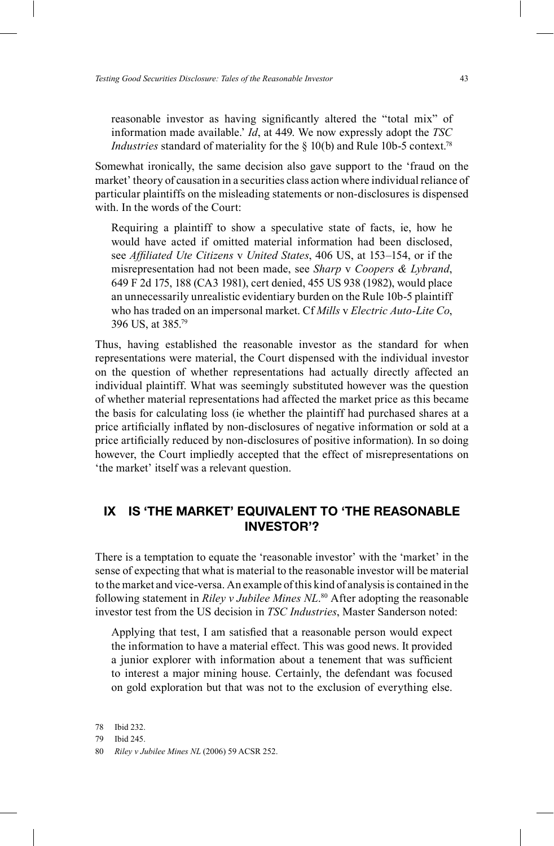reasonable investor as having significantly altered the "total mix" of information made available.' *Id*, at 449. We now expressly adopt the *TSC Industries* standard of materiality for the § 10(b) and Rule 10b-5 context.<sup>78</sup>

Somewhat ironically, the same decision also gave support to the 'fraud on the market' theory of causation in a securities class action where individual reliance of particular plaintiffs on the misleading statements or non-disclosures is dispensed with. In the words of the Court:

Requiring a plaintiff to show a speculative state of facts, ie, how he would have acted if omitted material information had been disclosed, see *Affiliated Ute Citizens* v *United States*, 406 US, at 153-154, or if the misrepresentation had not been made, see *Sharp* v *Coopers & Lybrand*, 649 F 2d 175, 188 (CA3 1981), cert denied, 455 US 938 (1982), would place an unnecessarily unrealistic evidentiary burden on the Rule 10b-5 plaintiff who has traded on an impersonal market. Cf *Mills* v *Electric Auto-Lite Co*, 396 US, at 385.79

Thus, having established the reasonable investor as the standard for when representations were material, the Court dispensed with the individual investor on the question of whether representations had actually directly affected an individual plaintiff. What was seemingly substituted however was the question of whether material representations had affected the market price as this became the basis for calculating loss (ie whether the plaintiff had purchased shares at a price artificially inflated by non-disclosures of negative information or sold at a price artificially reduced by non-disclosures of positive information). In so doing however, the Court impliedly accepted that the effect of misrepresentations on 'the market' itself was a relevant question.

## **IX IS 'THE MARKET' EQUIVALENT TO 'THE REASONABLE INVESTOR'?**

There is a temptation to equate the 'reasonable investor' with the 'market' in the sense of expecting that what is material to the reasonable investor will be material to the market and vice-versa. An example of this kind of analysis is contained in the following statement in *Riley v Jubilee Mines NL*. 80 After adopting the reasonable investor test from the US decision in *TSC Industries*, Master Sanderson noted:

Applying that test, I am satisfied that a reasonable person would expect the information to have a material effect. This was good news. It provided a junior explorer with information about a tenement that was sufficient to interest a major mining house. Certainly, the defendant was focused on gold exploration but that was not to the exclusion of everything else.

<sup>78</sup> Ibid 232.

<sup>79</sup> Ibid 245.

<sup>80</sup> *Riley v Jubilee Mines NL* (2006) 59 ACSR 252.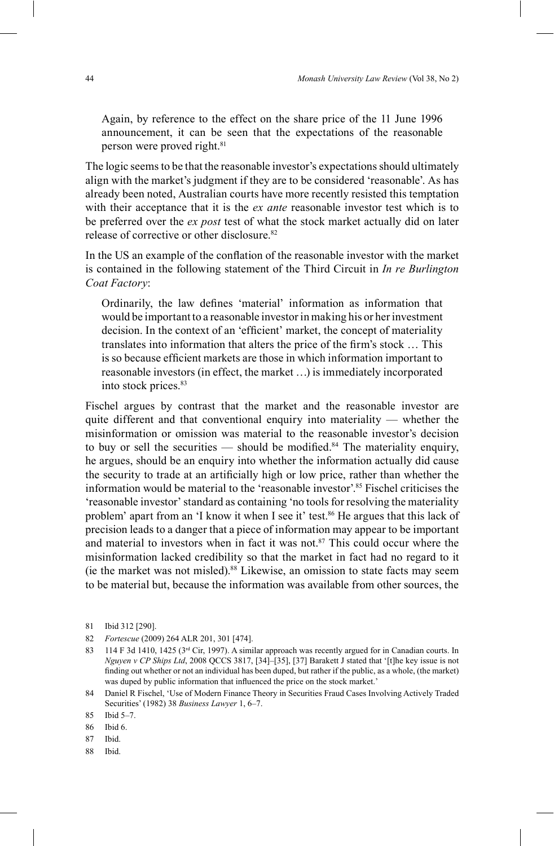Again, by reference to the effect on the share price of the 11 June 1996 announcement, it can be seen that the expectations of the reasonable person were proved right.<sup>81</sup>

The logic seems to be that the reasonable investor's expectations should ultimately align with the market's judgment if they are to be considered 'reasonable'. As has already been noted, Australian courts have more recently resisted this temptation with their acceptance that it is the *ex ante* reasonable investor test which is to be preferred over the *ex post* test of what the stock market actually did on later release of corrective or other disclosure.82

In the US an example of the conflation of the reasonable investor with the market is contained in the following statement of the Third Circuit in *In re Burlington Coat Factory*:

Ordinarily, the law defines 'material' information as information that would be important to a reasonable investor in making his or her investment decision. In the context of an 'efficient' market, the concept of materiality translates into information that alters the price of the firm's stock ... This is so because efficient markets are those in which information important to reasonable investors (in effect, the market ...) is immediately incorporated into stock prices.83

Fischel argues by contrast that the market and the reasonable investor are quite different and that conventional enquiry into materiality  $-$  whether the misinformation or omission was material to the reasonable investor's decision to buy or sell the securities — should be modified.<sup>84</sup> The materiality enquiry, he argues, should be an enquiry into whether the information actually did cause the security to trade at an artificially high or low price, rather than whether the information would be material to the 'reasonable investor'.<sup>85</sup> Fischel criticises the 'reasonable investor' standard as containing 'no tools for resolving the materiality problem' apart from an 'I know it when I see it' test.<sup>86</sup> He argues that this lack of precision leads to a danger that a piece of information may appear to be important and material to investors when in fact it was not. $87$  This could occur where the misinformation lacked credibility so that the market in fact had no regard to it (ie the market was not misled).88 Likewise, an omission to state facts may seem to be material but, because the information was available from other sources, the

<sup>81</sup> Ibid 312 [290].

<sup>82</sup> *Fortescue* (2009) 264 ALR 201, 301 [474].

<sup>83 114</sup> F 3d 1410, 1425 (3rd Cir, 1997). A similar approach was recently argued for in Canadian courts. In *Nguyen v CP Ships Ltd*, 2008 QCCS 3817, [34]-[35], [37] Barakett J stated that '[t]he key issue is not finding out whether or not an individual has been duped, but rather if the public, as a whole, (the market) was duped by public information that influenced the price on the stock market.'

<sup>84</sup> Daniel R Fischel, 'Use of Modern Finance Theory in Securities Fraud Cases Involving Actively Traded Securities' (1982) 38 *Business Lawyer* 1, 6-7.

<sup>85</sup> Ibid 5-7.

<sup>86</sup> Ibid 6.

<sup>87</sup> Ibid.

<sup>88</sup> Ibid.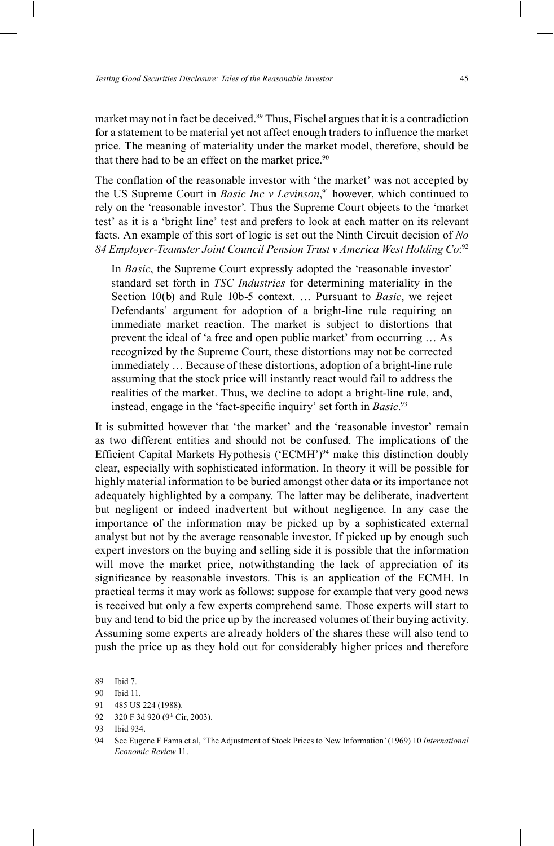market may not in fact be deceived.<sup>89</sup> Thus, Fischel argues that it is a contradiction for a statement to be material yet not affect enough traders to influence the market price. The meaning of materiality under the market model, therefore, should be that there had to be an effect on the market price.<sup>90</sup>

The conflation of the reasonable investor with 'the market' was not accepted by the US Supreme Court in *Basic Inc v Levinson*, 91 however, which continued to rely on the 'reasonable investor'. Thus the Supreme Court objects to the 'market test' as it is a 'bright line' test and prefers to look at each matter on its relevant facts. An example of this sort of logic is set out the Ninth Circuit decision of *No 84 Employer-Teamster Joint Council Pension Trust v America West Holding Co*: 92

In *Basic*, the Supreme Court expressly adopted the 'reasonable investor' standard set forth in *TSC Industries* for determining materiality in the Section 10(b) and Rule 10b-5 context. ... Pursuant to *Basic*, we reject Defendants' argument for adoption of a bright-line rule requiring an immediate market reaction. The market is subject to distortions that prevent the ideal of 'a free and open public market' from occurring ... As recognized by the Supreme Court, these distortions may not be corrected immediately ... Because of these distortions, adoption of a bright-line rule assuming that the stock price will instantly react would fail to address the realities of the market. Thus, we decline to adopt a bright-line rule, and, instead, engage in the 'fact-specific inquiry' set forth in *Basic*.<sup>93</sup>

It is submitted however that 'the market' and the 'reasonable investor' remain as two different entities and should not be confused. The implications of the Efficient Capital Markets Hypothesis ('ECMH') $94$  make this distinction doubly clear, especially with sophisticated information. In theory it will be possible for highly material information to be buried amongst other data or its importance not adequately highlighted by a company. The latter may be deliberate, inadvertent but negligent or indeed inadvertent but without negligence. In any case the importance of the information may be picked up by a sophisticated external analyst but not by the average reasonable investor. If picked up by enough such expert investors on the buying and selling side it is possible that the information will move the market price, notwithstanding the lack of appreciation of its significance by reasonable investors. This is an application of the ECMH. In practical terms it may work as follows: suppose for example that very good news is received but only a few experts comprehend same. Those experts will start to buy and tend to bid the price up by the increased volumes of their buying activity. Assuming some experts are already holders of the shares these will also tend to push the price up as they hold out for considerably higher prices and therefore

<sup>89</sup> Ibid 7.

<sup>90</sup> Ibid 11.

<sup>91 485</sup> US 224 (1988).

<sup>92 320</sup> F 3d 920 (9th Cir, 2003).

<sup>93</sup> Ibid 934.

<sup>94</sup> See Eugene F Fama et al, 'The Adjustment of Stock Prices to New Information' (1969) 10 *International Economic Review* 11.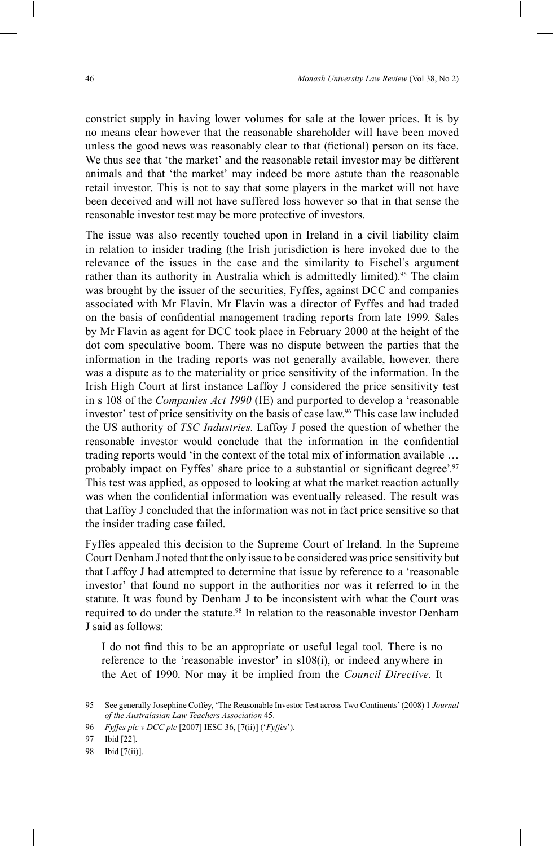constrict supply in having lower volumes for sale at the lower prices. It is by no means clear however that the reasonable shareholder will have been moved unless the good news was reasonably clear to that (fictional) person on its face. We thus see that 'the market' and the reasonable retail investor may be different animals and that 'the market' may indeed be more astute than the reasonable retail investor. This is not to say that some players in the market will not have been deceived and will not have suffered loss however so that in that sense the reasonable investor test may be more protective of investors.

The issue was also recently touched upon in Ireland in a civil liability claim in relation to insider trading (the Irish jurisdiction is here invoked due to the relevance of the issues in the case and the similarity to Fischel's argument rather than its authority in Australia which is admittedly limited).<sup>95</sup> The claim was brought by the issuer of the securities, Fyffes, against DCC and companies associated with Mr Flavin. Mr Flavin was a director of Fyffes and had traded on the basis of confidential management trading reports from late 1999. Sales by Mr Flavin as agent for DCC took place in February 2000 at the height of the dot com speculative boom. There was no dispute between the parties that the information in the trading reports was not generally available, however, there was a dispute as to the materiality or price sensitivity of the information. In the Irish High Court at first instance Laffoy J considered the price sensitivity test in s 108 of the *Companies Act 1990* (IE) and purported to develop a 'reasonable investor' test of price sensitivity on the basis of case law.<sup>96</sup> This case law included the US authority of *TSC Industries*. Laffoy J posed the question of whether the reasonable investor would conclude that the information in the confidential trading reports would 'in the context of the total mix of information available  $\ldots$ probably impact on Fyffes' share price to a substantial or significant degree'.<sup>97</sup> This test was applied, as opposed to looking at what the market reaction actually was when the confidential information was eventually released. The result was that Laffoy J concluded that the information was not in fact price sensitive so that the insider trading case failed.

Fyffes appealed this decision to the Supreme Court of Ireland. In the Supreme Court Denham J noted that the only issue to be considered was price sensitivity but that Laffoy J had attempted to determine that issue by reference to a 'reasonable investor' that found no support in the authorities nor was it referred to in the statute. It was found by Denham J to be inconsistent with what the Court was required to do under the statute.<sup>98</sup> In relation to the reasonable investor Denham J said as follows:

I do not find this to be an appropriate or useful legal tool. There is no reference to the 'reasonable investor' in  $s108(i)$ , or indeed anywhere in the Act of 1990. Nor may it be implied from the *Council Directive*. It

<sup>95</sup> See generally Josephine Coffey, 'The Reasonable Investor Test across Two Continents' (2008) 1 *Journal of the Australasian Law Teachers Association* 45.

<sup>96</sup> *Fyffes plc v DCC plc* [2007] IESC 36, [7(ii)] ('*Fyffes*').

<sup>97</sup> Ibid [22].

<sup>98</sup> Ibid [7(ii)].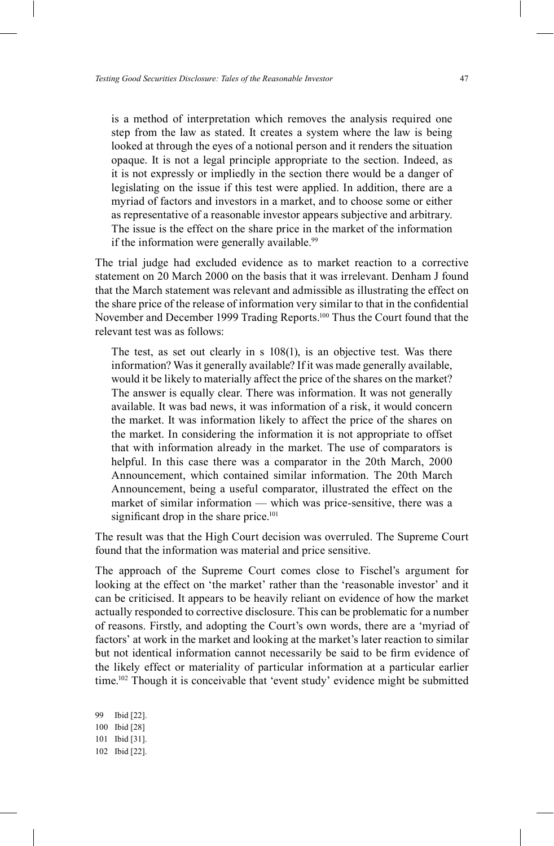is a method of interpretation which removes the analysis required one step from the law as stated. It creates a system where the law is being looked at through the eyes of a notional person and it renders the situation opaque. It is not a legal principle appropriate to the section. Indeed, as it is not expressly or impliedly in the section there would be a danger of legislating on the issue if this test were applied. In addition, there are a myriad of factors and investors in a market, and to choose some or either as representative of a reasonable investor appears subjective and arbitrary. The issue is the effect on the share price in the market of the information if the information were generally available.<sup>99</sup>

The trial judge had excluded evidence as to market reaction to a corrective statement on 20 March 2000 on the basis that it was irrelevant. Denham J found that the March statement was relevant and admissible as illustrating the effect on the share price of the release of information very similar to that in the confidential November and December 1999 Trading Reports.<sup>100</sup> Thus the Court found that the relevant test was as follows:

The test, as set out clearly in s 108(1), is an objective test. Was there information? Was it generally available? If it was made generally available, would it be likely to materially affect the price of the shares on the market? The answer is equally clear. There was information. It was not generally available. It was bad news, it was information of a risk, it would concern the market. It was information likely to affect the price of the shares on the market. In considering the information it is not appropriate to offset that with information already in the market. The use of comparators is helpful. In this case there was a comparator in the 20th March, 2000 Announcement, which contained similar information. The 20th March Announcement, being a useful comparator, illustrated the effect on the market of similar information — which was price-sensitive, there was a significant drop in the share price.<sup>101</sup>

The result was that the High Court decision was overruled. The Supreme Court found that the information was material and price sensitive.

The approach of the Supreme Court comes close to Fischel's argument for looking at the effect on 'the market' rather than the 'reasonable investor' and it can be criticised. It appears to be heavily reliant on evidence of how the market actually responded to corrective disclosure. This can be problematic for a number of reasons. Firstly, and adopting the Court's own words, there are a 'myriad of factors' at work in the market and looking at the market's later reaction to similar but not identical information cannot necessarily be said to be firm evidence of the likely effect or materiality of particular information at a particular earlier time.<sup>102</sup> Though it is conceivable that 'event study' evidence might be submitted

99 Ibid [22]. 100 Ibid [28] 101 Ibid [31]. 102 Ibid [22].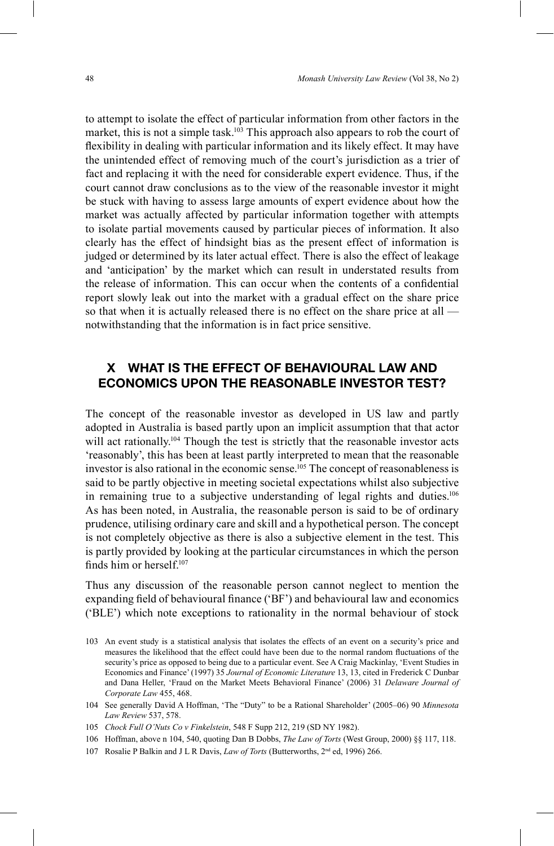to attempt to isolate the effect of particular information from other factors in the market, this is not a simple task.<sup>103</sup> This approach also appears to rob the court of flexibility in dealing with particular information and its likely effect. It may have the unintended effect of removing much of the court's jurisdiction as a trier of fact and replacing it with the need for considerable expert evidence. Thus, if the court cannot draw conclusions as to the view of the reasonable investor it might be stuck with having to assess large amounts of expert evidence about how the market was actually affected by particular information together with attempts to isolate partial movements caused by particular pieces of information. It also clearly has the effect of hindsight bias as the present effect of information is judged or determined by its later actual effect. There is also the effect of leakage and 'anticipation' by the market which can result in understated results from the release of information. This can occur when the contents of a confidential report slowly leak out into the market with a gradual effect on the share price so that when it is actually released there is no effect on the share price at all notwithstanding that the information is in fact price sensitive.

# **X WHAT IS THE EFFECT OF BEHAVIOURAL LAW AND ECONOMICS UPON THE REASONABLE INVESTOR TEST?**

The concept of the reasonable investor as developed in US law and partly adopted in Australia is based partly upon an implicit assumption that that actor will act rationally.<sup>104</sup> Though the test is strictly that the reasonable investor acts 'reasonably', this has been at least partly interpreted to mean that the reasonable investor is also rational in the economic sense.<sup>105</sup> The concept of reasonableness is said to be partly objective in meeting societal expectations whilst also subjective in remaining true to a subjective understanding of legal rights and duties.<sup>106</sup> As has been noted, in Australia, the reasonable person is said to be of ordinary prudence, utilising ordinary care and skill and a hypothetical person. The concept is not completely objective as there is also a subjective element in the test. This is partly provided by looking at the particular circumstances in which the person finds him or herself<sup>107</sup>

Thus any discussion of the reasonable person cannot neglect to mention the expanding field of behavioural finance ('BF') and behavioural law and economics  $(BLE)$  which note exceptions to rationality in the normal behaviour of stock

107 Rosalie P Balkin and J L R Davis, *Law of Torts* (Butterworths, 2nd ed, 1996) 266.

<sup>103</sup> An event study is a statistical analysis that isolates the effects of an event on a security's price and measures the likelihood that the effect could have been due to the normal random fluctuations of the security's price as opposed to being due to a particular event. See A Craig Mackinlay, 'Event Studies in Economics and Finance' (1997) 35 *Journal of Economic Literature* 13, 13, cited in Frederick C Dunbar and Dana Heller, 'Fraud on the Market Meets Behavioral Finance' (2006) 31 *Delaware Journal of Corporate Law* 455, 468.

<sup>104</sup> See generally David A Hoffman, 'The "Duty" to be a Rational Shareholder' (2005–06) 90 *Minnesota Law Review* 537, 578.

<sup>105</sup> *Chock Full O1Nuts Co v Finkelstein*, 548 F Supp 212, 219 (SD NY 1982).

<sup>106</sup> Hoffman, above n 104, 540, quoting Dan B Dobbs, *The Law of Torts* (West Group, 2000) §§ 117, 118.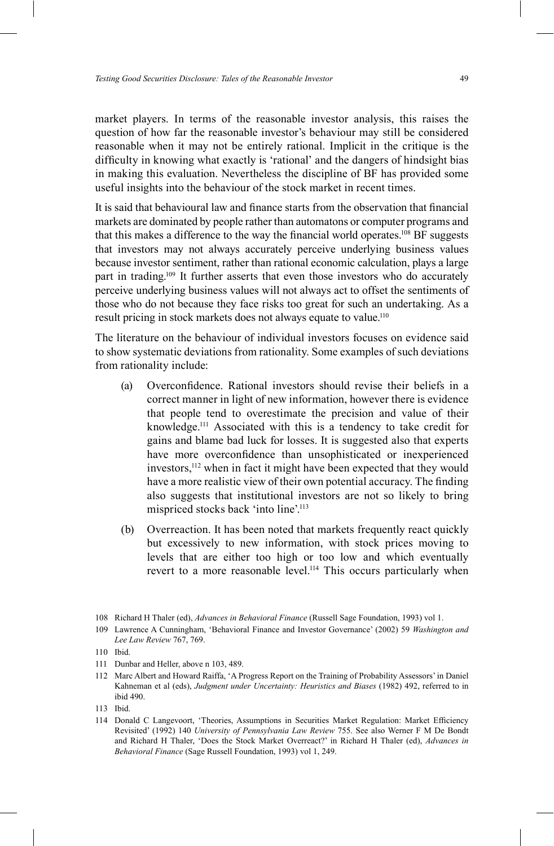market players. In terms of the reasonable investor analysis, this raises the question of how far the reasonable investor's behaviour may still be considered reasonable when it may not be entirely rational. Implicit in the critique is the difficulty in knowing what exactly is 'rational' and the dangers of hindsight bias in making this evaluation. Nevertheless the discipline of BF has provided some useful insights into the behaviour of the stock market in recent times.

It is said that behavioural law and finance starts from the observation that financial markets are dominated by people rather than automatons or computer programs and that this makes a difference to the way the financial world operates.<sup>108</sup> BF suggests that investors may not always accurately perceive underlying business values because investor sentiment, rather than rational economic calculation, plays a large part in trading.109 It further asserts that even those investors who do accurately perceive underlying business values will not always act to offset the sentiments of those who do not because they face risks too great for such an undertaking. As a result pricing in stock markets does not always equate to value.<sup>110</sup>

The literature on the behaviour of individual investors focuses on evidence said to show systematic deviations from rationality. Some examples of such deviations from rationality include:

- (a) Overconfidence Rational investors should revise their beliefs in a correct manner in light of new information, however there is evidence that people tend to overestimate the precision and value of their knowledge.111 Associated with this is a tendency to take credit for gains and blame bad luck for losses. It is suggested also that experts have more overconfidence than unsophisticated or inexperienced investors,112 when in fact it might have been expected that they would have a more realistic view of their own potential accuracy. The finding also suggests that institutional investors are not so likely to bring mispriced stocks back 'into line'.<sup>113</sup>
- (b) Overreaction. It has been noted that markets frequently react quickly but excessively to new information, with stock prices moving to levels that are either too high or too low and which eventually revert to a more reasonable level.<sup>114</sup> This occurs particularly when

<sup>108</sup> Richard H Thaler (ed), *Advances in Behavioral Finance* (Russell Sage Foundation, 1993) vol 1.

<sup>109</sup> Lawrence A Cunningham, 'Behavioral Finance and Investor Governance' (2002) 59 *Washington and Lee Law Review* 767, 769.

<sup>110</sup> Ibid.

<sup>111</sup> Dunbar and Heller, above n 103, 489.

<sup>112</sup> Marc Albert and Howard Raiffa, 'A Progress Report on the Training of Probability Assessors' in Daniel Kahneman et al (eds), *Judgment under Uncertainty: Heuristics and Biases* (1982) 492, referred to in ibid 490.

<sup>113</sup> Ibid.

<sup>114</sup> Donald C Langevoort, 'Theories, Assumptions in Securities Market Regulation: Market Efficiency Revisited' (1992) 140 *University of Pennsylvania Law Review* 755. See also Werner F M De Bondt and Richard H Thaler, 'Does the Stock Market Overreact?' in Richard H Thaler (ed), *Advances in Behavioral Finance* (Sage Russell Foundation, 1993) vol 1, 249.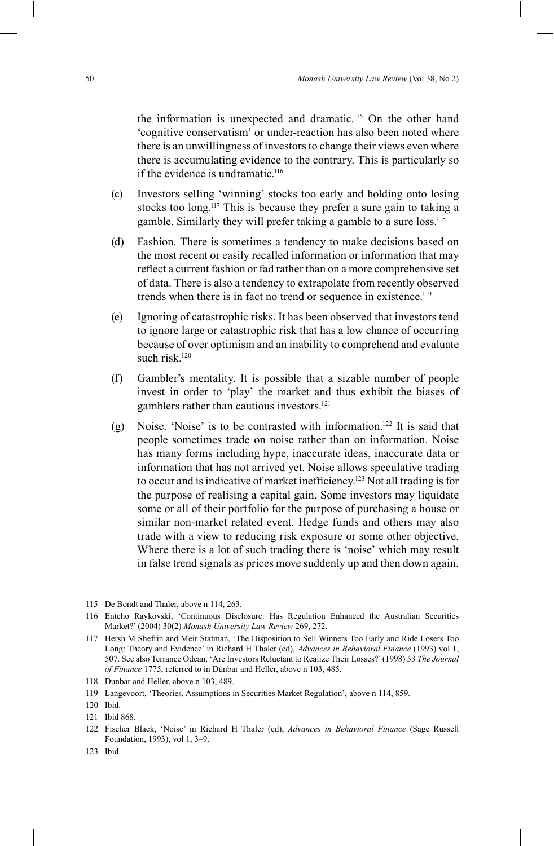the information is unexpected and dramatic.115 On the other hand 'cognitive conservatism' or under-reaction has also been noted where there is an unwillingness of investors to change their views even where there is accumulating evidence to the contrary. This is particularly so if the evidence is undramatic.<sup>116</sup>

- $(c)$  Investors selling 'winning' stocks too early and holding onto losing stocks too long.<sup>117</sup> This is because they prefer a sure gain to taking a gamble. Similarly they will prefer taking a gamble to a sure loss.118
- (d) Fashion. There is sometimes a tendency to make decisions based on the most recent or easily recalled information or information that may reflect a current fashion or fad rather than on a more comprehensive set of data. There is also a tendency to extrapolate from recently observed trends when there is in fact no trend or sequence in existence.<sup>119</sup>
- (e) Ignoring of catastrophic risks. It has been observed that investors tend to ignore large or catastrophic risk that has a low chance of occurring because of over optimism and an inability to comprehend and evaluate such risk $120$
- (f) Gambler's mentality. It is possible that a sizable number of people invest in order to 'play' the market and thus exhibit the biases of gamblers rather than cautious investors.<sup>121</sup>
- (g) Noise. 'Noise' is to be contrasted with information.<sup>122</sup> It is said that people sometimes trade on noise rather than on information. Noise has many forms including hype, inaccurate ideas, inaccurate data or information that has not arrived yet. Noise allows speculative trading to occur and is indicative of market inefficiency.<sup>123</sup> Not all trading is for the purpose of realising a capital gain. Some investors may liquidate some or all of their portfolio for the purpose of purchasing a house or similar non-market related event. Hedge funds and others may also trade with a view to reducing risk exposure or some other objective. Where there is a lot of such trading there is 'noise' which may result in false trend signals as prices move suddenly up and then down again.

116 Entcho Raykovski, 'Continuous Disclosure: Has Regulation Enhanced the Australian Securities Market?' (2004) 30(2) *Monash University Law Review* 269, 272.

- 118 Dunbar and Heller, above n 103, 489.
- 119 Langevoort, 'Theories, Assumptions in Securities Market Regulation', above n 114, 859.
- 120 Ibid.

- 122 Fischer Black, 'Noise' in Richard H Thaler (ed), *Advances in Behavioral Finance* (Sage Russell Foundation, 1993), vol 1, 3-9.
- 123 Ibid.

<sup>115</sup> De Bondt and Thaler, above n 114, 263.

<sup>117</sup> Hersh M Shefrin and Meir Statman, 'The Disposition to Sell Winners Too Early and Ride Losers Too Long: Theory and Evidence' in Richard H Thaler (ed), *Advances in Behavioral Finance* (1993) vol 1, 507. See also Terrance Odean, 'Are Investors Reluctant to Realize Their Losses?' (1998) 53 The Journal *of Finance* 1775, referred to in Dunbar and Heller, above n 103, 485.

<sup>121</sup> Ibid 868.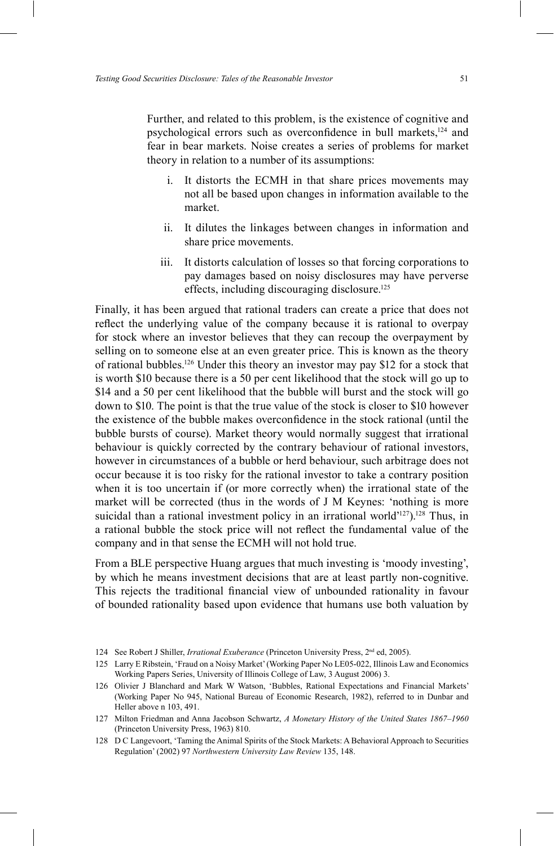Further, and related to this problem, is the existence of cognitive and psychological errors such as overconfidence in bull markets,<sup>124</sup> and fear in bear markets. Noise creates a series of problems for market theory in relation to a number of its assumptions:

- i. It distorts the ECMH in that share prices movements may not all be based upon changes in information available to the market.
- ii. It dilutes the linkages between changes in information and share price movements.
- iii. It distorts calculation of losses so that forcing corporations to pay damages based on noisy disclosures may have perverse effects, including discouraging disclosure.125

Finally, it has been argued that rational traders can create a price that does not reflect the underlying value of the company because it is rational to overpay for stock where an investor believes that they can recoup the overpayment by selling on to someone else at an even greater price. This is known as the theory of rational bubbles.126 Under this theory an investor may pay \$12 for a stock that is worth \$10 because there is a 50 per cent likelihood that the stock will go up to \$14 and a 50 per cent likelihood that the bubble will burst and the stock will go down to \$10. The point is that the true value of the stock is closer to \$10 however the existence of the bubble makes overconfidence in the stock rational (until the bubble bursts of course). Market theory would normally suggest that irrational behaviour is quickly corrected by the contrary behaviour of rational investors, however in circumstances of a bubble or herd behaviour, such arbitrage does not occur because it is too risky for the rational investor to take a contrary position when it is too uncertain if (or more correctly when) the irrational state of the market will be corrected (thus in the words of  $J$  M Keynes: 'nothing is more suicidal than a rational investment policy in an irrational world $127$ ).<sup>128</sup> Thus, in a rational bubble the stock price will not reflect the fundamental value of the company and in that sense the ECMH will not hold true.

From a BLE perspective Huang argues that much investing is 'moody investing', by which he means investment decisions that are at least partly non-cognitive. This rejects the traditional financial view of unbounded rationality in favour of bounded rationality based upon evidence that humans use both valuation by

<sup>124</sup> See Robert J Shiller, *Irrational Exuberance* (Princeton University Press, 2nd ed, 2005).

<sup>125</sup> Larry E Ribstein, 'Fraud on a Noisy Market' (Working Paper No LE05-022, Illinois Law and Economics Working Papers Series, University of Illinois College of Law, 3 August 2006) 3.

<sup>126</sup> Olivier J Blanchard and Mark W Watson, 'Bubbles, Rational Expectations and Financial Markets' (Working Paper No 945, National Bureau of Economic Research, 1982), referred to in Dunbar and Heller above n 103, 491.

<sup>127</sup> Milton Friedman and Anna Jacobson Schwartz, *A Monetary History of the United States 1867-1960* (Princeton University Press, 1963) 810.

<sup>128</sup> D C Langevoort, 'Taming the Animal Spirits of the Stock Markets: A Behavioral Approach to Securities Regulation' (2002) 97 *Northwestern University Law Review* 135, 148.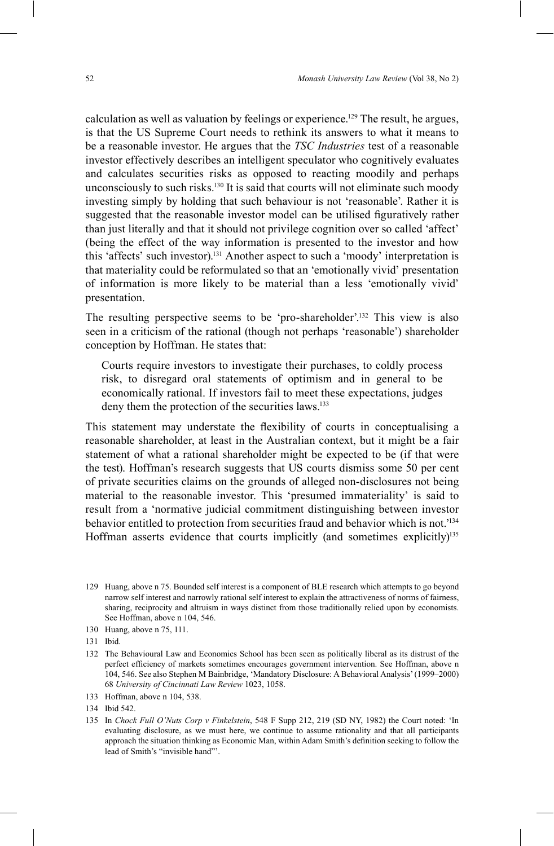calculation as well as valuation by feelings or experience.<sup>129</sup> The result, he argues, is that the US Supreme Court needs to rethink its answers to what it means to be a reasonable investor. He argues that the *TSC Industries* test of a reasonable investor effectively describes an intelligent speculator who cognitively evaluates and calculates securities risks as opposed to reacting moodily and perhaps unconsciously to such risks.<sup>130</sup> It is said that courts will not eliminate such moody investing simply by holding that such behaviour is not 'reasonable'. Rather it is suggested that the reasonable investor model can be utilised figuratively rather than just literally and that it should not privilege cognition over so called 'affect' (being the effect of the way information is presented to the investor and how this 'affects' such investor).<sup>131</sup> Another aspect to such a 'moody' interpretation is that materiality could be reformulated so that an 'emotionally vivid' presentation of information is more likely to be material than a less 'emotionally vivid' presentation.

The resulting perspective seems to be 'pro-shareholder'.<sup>132</sup> This view is also seen in a criticism of the rational (though not perhaps 'reasonable') shareholder conception by Hoffman. He states that:

Courts require investors to investigate their purchases, to coldly process risk, to disregard oral statements of optimism and in general to be economically rational. If investors fail to meet these expectations, judges deny them the protection of the securities laws.<sup>133</sup>

This statement may understate the flexibility of courts in conceptualising a reasonable shareholder, at least in the Australian context, but it might be a fair statement of what a rational shareholder might be expected to be (if that were the test). Hoffman's research suggests that US courts dismiss some 50 per cent of private securities claims on the grounds of alleged non-disclosures not being material to the reasonable investor. This 'presumed immateriality' is said to result from a 'normative judicial commitment distinguishing between investor behavior entitled to protection from securities fraud and behavior which is not.<sup>134</sup> Hoffman asserts evidence that courts implicitly (and sometimes explicitly)<sup>135</sup>

<sup>129</sup> Huang, above n 75. Bounded self interest is a component of BLE research which attempts to go beyond narrow self interest and narrowly rational self interest to explain the attractiveness of norms of fairness, sharing, reciprocity and altruism in ways distinct from those traditionally relied upon by economists. See Hoffman, above n 104, 546.

<sup>130</sup> Huang, above n 75, 111.

<sup>131</sup> Ibid.

<sup>132</sup> The Behavioural Law and Economics School has been seen as politically liberal as its distrust of the perfect efficiency of markets sometimes encourages government intervention. See Hoffman, above n 104, 546. See also Stephen M Bainbridge, 'Mandatory Disclosure: A Behavioral Analysis' (1999–2000) 68 *University of Cincinnati Law Review* 1023, 1058.

<sup>133</sup> Hoffman, above n 104, 538.

<sup>134</sup> Ibid 542.

<sup>135</sup> In *Chock Full O'Nuts Corp v Finkelstein*, 548 F Supp 212, 219 (SD NY, 1982) the Court noted: 'In evaluating disclosure, as we must here, we continue to assume rationality and that all participants approach the situation thinking as Economic Man, within Adam Smith's definition seeking to follow the lead of Smith's "invisible hand"'.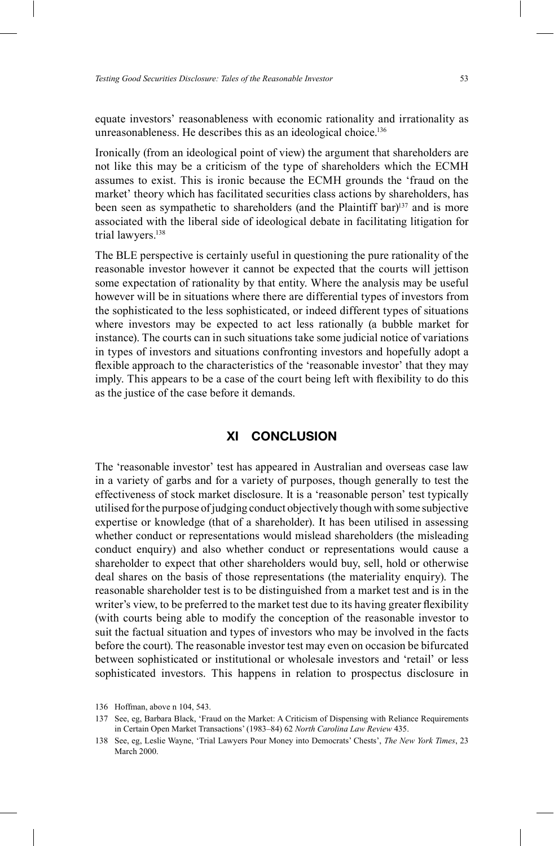equate investors' reasonableness with economic rationality and irrationality as unreasonableness. He describes this as an ideological choice.<sup>136</sup>

Ironically (from an ideological point of view) the argument that shareholders are not like this may be a criticism of the type of shareholders which the ECMH assumes to exist. This is ironic because the ECMH grounds the 'fraud on the market' theory which has facilitated securities class actions by shareholders, has been seen as sympathetic to shareholders (and the Plaintiff bar)<sup>137</sup> and is more associated with the liberal side of ideological debate in facilitating litigation for trial lawyers.<sup>138</sup>

The BLE perspective is certainly useful in questioning the pure rationality of the reasonable investor however it cannot be expected that the courts will jettison some expectation of rationality by that entity. Where the analysis may be useful however will be in situations where there are differential types of investors from the sophisticated to the less sophisticated, or indeed different types of situations where investors may be expected to act less rationally (a bubble market for instance). The courts can in such situations take some judicial notice of variations in types of investors and situations confronting investors and hopefully adopt a flexible approach to the characteristics of the 'reasonable investor' that they may imply. This appears to be a case of the court being left with flexibility to do this as the justice of the case before it demands.

#### **XI CONCLUSION**

The 'reasonable investor' test has appeared in Australian and overseas case law in a variety of garbs and for a variety of purposes, though generally to test the effectiveness of stock market disclosure. It is a 'reasonable person' test typically utilised for the purpose of judging conduct objectively though with some subjective expertise or knowledge (that of a shareholder). It has been utilised in assessing whether conduct or representations would mislead shareholders (the misleading conduct enquiry) and also whether conduct or representations would cause a shareholder to expect that other shareholders would buy, sell, hold or otherwise deal shares on the basis of those representations (the materiality enquiry). The reasonable shareholder test is to be distinguished from a market test and is in the writer's view, to be preferred to the market test due to its having greater flexibility (with courts being able to modify the conception of the reasonable investor to suit the factual situation and types of investors who may be involved in the facts before the court). The reasonable investor test may even on occasion be bifurcated between sophisticated or institutional or wholesale investors and 'retail' or less sophisticated investors. This happens in relation to prospectus disclosure in

<sup>136</sup> Hoffman, above n 104, 543.

<sup>137</sup> See, eg, Barbara Black, 'Fraud on the Market: A Criticism of Dispensing with Reliance Requirements in Certain Open Market Transactions' (1983-84) 62 *North Carolina Law Review* 435.

<sup>138</sup> See, eg, Leslie Wayne, 'Trial Lawyers Pour Money into Democrats' Chests', *The New York Times*, 23 March 2000.